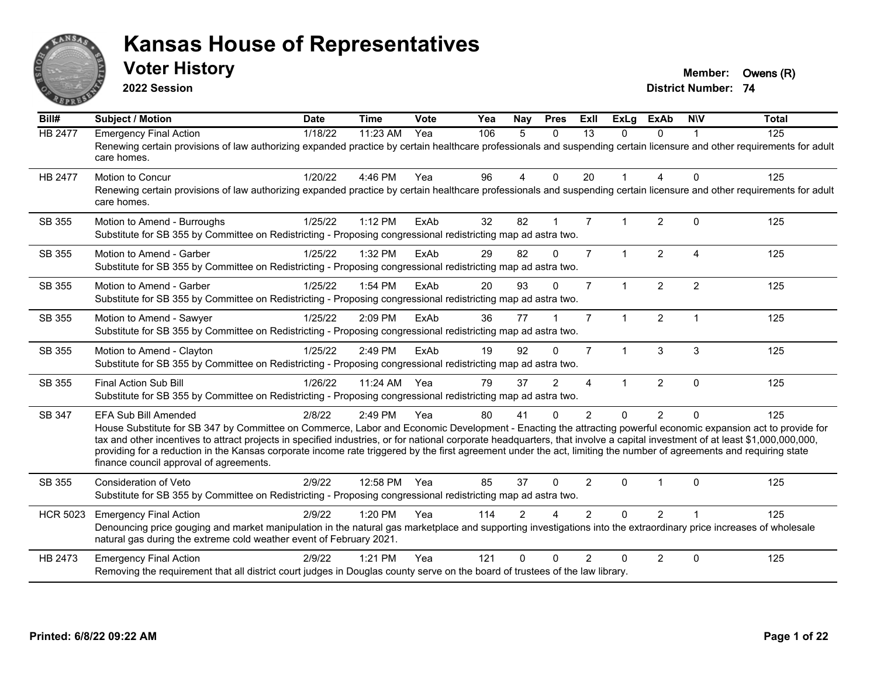

**2022 Session**

**Voter History Member: Owens** (R)

| Bill#           | <b>Subject / Motion</b>                                                                                                                                                                                                                                                                                                                                                                                                                                                                                                                                                                            | <b>Date</b> | <b>Time</b>  | Vote | Yea | Nay            | <b>Pres</b> | ExII           | <b>ExLg</b>  | <b>ExAb</b>    | <b>NIV</b>              | <b>Total</b> |
|-----------------|----------------------------------------------------------------------------------------------------------------------------------------------------------------------------------------------------------------------------------------------------------------------------------------------------------------------------------------------------------------------------------------------------------------------------------------------------------------------------------------------------------------------------------------------------------------------------------------------------|-------------|--------------|------|-----|----------------|-------------|----------------|--------------|----------------|-------------------------|--------------|
| <b>HB 2477</b>  | <b>Emergency Final Action</b><br>Renewing certain provisions of law authorizing expanded practice by certain healthcare professionals and suspending certain licensure and other requirements for adult<br>care homes.                                                                                                                                                                                                                                                                                                                                                                             | 1/18/22     | 11:23 AM     | Yea  | 106 | 5              | $\Omega$    | 13             | $\Omega$     | $\Omega$       |                         | 125          |
| HB 2477         | Motion to Concur<br>Renewing certain provisions of law authorizing expanded practice by certain healthcare professionals and suspending certain licensure and other requirements for adult<br>care homes.                                                                                                                                                                                                                                                                                                                                                                                          | 1/20/22     | 4:46 PM      | Yea  | 96  | 4              | $\Omega$    | 20             | $\mathbf{1}$ | 4              | $\Omega$                | 125          |
| SB 355          | Motion to Amend - Burroughs<br>Substitute for SB 355 by Committee on Redistricting - Proposing congressional redistricting map ad astra two.                                                                                                                                                                                                                                                                                                                                                                                                                                                       | 1/25/22     | 1:12 PM      | ExAb | 32  | 82             |             | $\overline{7}$ | 1            | $\overline{2}$ | $\Omega$                | 125          |
| SB 355          | Motion to Amend - Garber<br>Substitute for SB 355 by Committee on Redistricting - Proposing congressional redistricting map ad astra two.                                                                                                                                                                                                                                                                                                                                                                                                                                                          | 1/25/22     | 1:32 PM      | ExAb | 29  | 82             | $\Omega$    | $\overline{7}$ | $\mathbf{1}$ | $\overline{2}$ | $\overline{4}$          | 125          |
| SB 355          | Motion to Amend - Garber<br>Substitute for SB 355 by Committee on Redistricting - Proposing congressional redistricting map ad astra two.                                                                                                                                                                                                                                                                                                                                                                                                                                                          | 1/25/22     | 1:54 PM      | ExAb | 20  | 93             | $\Omega$    | $\overline{7}$ | $\mathbf{1}$ | $\overline{2}$ | $\overline{2}$          | 125          |
| SB 355          | Motion to Amend - Sawyer<br>Substitute for SB 355 by Committee on Redistricting - Proposing congressional redistricting map ad astra two.                                                                                                                                                                                                                                                                                                                                                                                                                                                          | 1/25/22     | 2:09 PM      | ExAb | 36  | 77             |             | $\overline{7}$ | $\mathbf{1}$ | $\overline{2}$ | $\overline{\mathbf{1}}$ | 125          |
| SB 355          | Motion to Amend - Clayton<br>Substitute for SB 355 by Committee on Redistricting - Proposing congressional redistricting map ad astra two.                                                                                                                                                                                                                                                                                                                                                                                                                                                         | 1/25/22     | 2:49 PM      | ExAb | 19  | 92             | $\Omega$    | $\overline{7}$ | $\mathbf{1}$ | 3              | 3                       | 125          |
| SB 355          | <b>Final Action Sub Bill</b><br>Substitute for SB 355 by Committee on Redistricting - Proposing congressional redistricting map ad astra two.                                                                                                                                                                                                                                                                                                                                                                                                                                                      | 1/26/22     | 11:24 AM Yea |      | 79  | 37             | 2           | 4              |              | $\overline{2}$ | $\mathbf{0}$            | 125          |
| SB 347          | <b>EFA Sub Bill Amended</b><br>House Substitute for SB 347 by Committee on Commerce, Labor and Economic Development - Enacting the attracting powerful economic expansion act to provide for<br>tax and other incentives to attract projects in specified industries, or for national corporate headquarters, that involve a capital investment of at least \$1,000,000,000,000,<br>providing for a reduction in the Kansas corporate income rate triggered by the first agreement under the act, limiting the number of agreements and requiring state<br>finance council approval of agreements. | 2/8/22      | 2:49 PM      | Yea  | 80  | 41             | $\Omega$    | $\overline{2}$ | $\Omega$     | $\overline{2}$ | $\Omega$                | 125          |
| SB 355          | <b>Consideration of Veto</b><br>Substitute for SB 355 by Committee on Redistricting - Proposing congressional redistricting map ad astra two.                                                                                                                                                                                                                                                                                                                                                                                                                                                      | 2/9/22      | 12:58 PM Yea |      | 85  | 37             | $\Omega$    | $\overline{2}$ | $\Omega$     |                | $\Omega$                | 125          |
| <b>HCR 5023</b> | <b>Emergency Final Action</b><br>Denouncing price gouging and market manipulation in the natural gas marketplace and supporting investigations into the extraordinary price increases of wholesale<br>natural gas during the extreme cold weather event of February 2021.                                                                                                                                                                                                                                                                                                                          | 2/9/22      | 1:20 PM      | Yea  | 114 | $\overline{2}$ | $\Lambda$   | $\overline{2}$ | $\Omega$     | $\overline{2}$ |                         | 125          |
| HB 2473         | <b>Emergency Final Action</b><br>Removing the requirement that all district court judges in Douglas county serve on the board of trustees of the law library.                                                                                                                                                                                                                                                                                                                                                                                                                                      | 2/9/22      | 1:21 PM      | Yea  | 121 | $\Omega$       | $\Omega$    | $\mathcal{P}$  | $\Omega$     | $\overline{2}$ | $\mathbf{0}$            | 125          |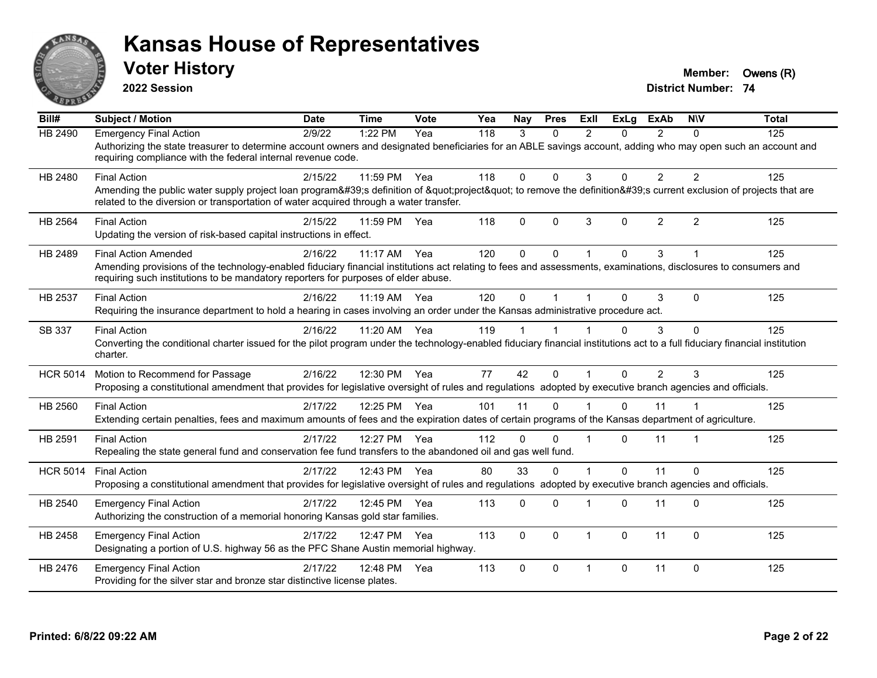

**2022 Session**

**Voter History Member: Owens (R)** 

| Bill#           | <b>Subject / Motion</b>                                                                                                                                                                                                                                                              | <b>Date</b> | <b>Time</b> | Vote | Yea | Nay      | <b>Pres</b> | ExII           | <b>ExLa</b> | <b>ExAb</b>    | <b>NIV</b>     | <b>Total</b> |
|-----------------|--------------------------------------------------------------------------------------------------------------------------------------------------------------------------------------------------------------------------------------------------------------------------------------|-------------|-------------|------|-----|----------|-------------|----------------|-------------|----------------|----------------|--------------|
| <b>HB 2490</b>  | <b>Emergency Final Action</b><br>Authorizing the state treasurer to determine account owners and designated beneficiaries for an ABLE savings account, adding who may open such an account and<br>requiring compliance with the federal internal revenue code.                       | 2/9/22      | 1:22 PM     | Yea  | 118 | 3        | $\Omega$    | $\mathcal{P}$  | 0           | $\mathcal{P}$  | $\Omega$       | 125          |
| HB 2480         | <b>Final Action</b><br>Amending the public water supply project loan program's definition of "project" to remove the definition's current exclusion of projects that are<br>related to the diversion or transportation of water acquired through a water transfer.                   | 2/15/22     | 11:59 PM    | Yea  | 118 | $\Omega$ | $\Omega$    | 3              | 0           | $\overline{2}$ | $\overline{2}$ | 125          |
| <b>HB 2564</b>  | <b>Final Action</b><br>Updating the version of risk-based capital instructions in effect.                                                                                                                                                                                            | 2/15/22     | 11:59 PM    | Yea  | 118 | $\Omega$ | $\Omega$    | 3              | $\Omega$    | $\overline{2}$ | 2              | 125          |
| HB 2489         | <b>Final Action Amended</b><br>Amending provisions of the technology-enabled fiduciary financial institutions act relating to fees and assessments, examinations, disclosures to consumers and<br>requiring such institutions to be mandatory reporters for purposes of elder abuse. | 2/16/22     | 11:17 AM    | Yea  | 120 | $\Omega$ | $\Omega$    |                | $\Omega$    | 3              |                | 125          |
| HB 2537         | <b>Final Action</b><br>Requiring the insurance department to hold a hearing in cases involving an order under the Kansas administrative procedure act.                                                                                                                               | 2/16/22     | 11:19 AM    | Yea  | 120 | $\Omega$ |             |                | $\Omega$    | 3              | $\Omega$       | 125          |
| SB 337          | <b>Final Action</b><br>Converting the conditional charter issued for the pilot program under the technology-enabled fiduciary financial institutions act to a full fiduciary financial institution<br>charter.                                                                       | 2/16/22     | 11:20 AM    | Yea  | 119 |          |             |                | $\Omega$    | 3              | $\Omega$       | 125          |
| <b>HCR 5014</b> | Motion to Recommend for Passage<br>Proposing a constitutional amendment that provides for legislative oversight of rules and regulations adopted by executive branch agencies and officials.                                                                                         | 2/16/22     | 12:30 PM    | Yea  | 77  | 42       | $\Omega$    | $\overline{1}$ | $\Omega$    | $\overline{2}$ | 3              | 125          |
| HB 2560         | <b>Final Action</b><br>Extending certain penalties, fees and maximum amounts of fees and the expiration dates of certain programs of the Kansas department of agriculture.                                                                                                           | 2/17/22     | 12:25 PM    | Yea  | 101 | 11       | $\Omega$    |                | $\Omega$    | 11             |                | 125          |
| HB 2591         | <b>Final Action</b><br>Repealing the state general fund and conservation fee fund transfers to the abandoned oil and gas well fund.                                                                                                                                                  | 2/17/22     | 12:27 PM    | Yea  | 112 | $\Omega$ | $\Omega$    |                | 0           | 11             |                | 125          |
| <b>HCR 5014</b> | <b>Final Action</b><br>Proposing a constitutional amendment that provides for legislative oversight of rules and regulations adopted by executive branch agencies and officials.                                                                                                     | 2/17/22     | 12:43 PM    | Yea  | 80  | 33       | $\Omega$    |                | $\Omega$    | 11             | $\Omega$       | 125          |
| HB 2540         | <b>Emergency Final Action</b><br>Authorizing the construction of a memorial honoring Kansas gold star families.                                                                                                                                                                      | 2/17/22     | 12:45 PM    | Yea  | 113 | 0        | $\Omega$    |                | 0           | 11             | $\Omega$       | 125          |
| HB 2458         | <b>Emergency Final Action</b><br>Designating a portion of U.S. highway 56 as the PFC Shane Austin memorial highway.                                                                                                                                                                  | 2/17/22     | 12:47 PM    | Yea  | 113 | $\Omega$ | $\Omega$    | $\overline{1}$ | $\Omega$    | 11             | $\Omega$       | 125          |
| HB 2476         | <b>Emergency Final Action</b><br>Providing for the silver star and bronze star distinctive license plates.                                                                                                                                                                           | 2/17/22     | 12:48 PM    | Yea  | 113 | $\Omega$ | $\Omega$    | $\overline{1}$ | 0           | 11             | $\Omega$       | 125          |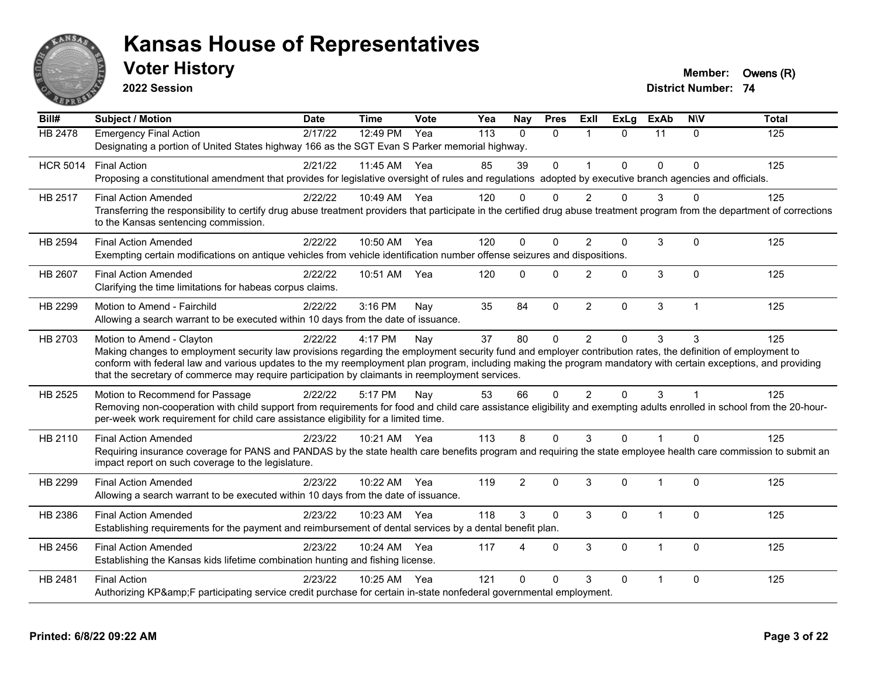

**2022 Session**

**Voter History Member: Owens** (R)

| $\overline{Bill#}$ | <b>Subject / Motion</b>                                                                                                                                                                                                                                                                                                                                                                                                                                         | <b>Date</b> | <b>Time</b>  | Vote | Yea | Nay      | <b>Pres</b>  | ExIl           | <b>ExLg</b>  | <b>ExAb</b> | <b>NIV</b>   | <b>Total</b> |
|--------------------|-----------------------------------------------------------------------------------------------------------------------------------------------------------------------------------------------------------------------------------------------------------------------------------------------------------------------------------------------------------------------------------------------------------------------------------------------------------------|-------------|--------------|------|-----|----------|--------------|----------------|--------------|-------------|--------------|--------------|
| <b>HB</b> 2478     | <b>Emergency Final Action</b><br>Designating a portion of United States highway 166 as the SGT Evan S Parker memorial highway.                                                                                                                                                                                                                                                                                                                                  | 2/17/22     | 12:49 PM     | Yea  | 113 | $\Omega$ | $\Omega$     | $\overline{1}$ | $\Omega$     | 11          | $\mathbf{0}$ | 125          |
| <b>HCR 5014</b>    | <b>Final Action</b><br>Proposing a constitutional amendment that provides for legislative oversight of rules and regulations adopted by executive branch agencies and officials.                                                                                                                                                                                                                                                                                | 2/21/22     | 11:45 AM Yea |      | 85  | 39       | $\mathbf{0}$ | $\overline{1}$ | $\mathbf{0}$ | $\Omega$    | $\Omega$     | 125          |
| HB 2517            | <b>Final Action Amended</b><br>Transferring the responsibility to certify drug abuse treatment providers that participate in the certified drug abuse treatment program from the department of corrections<br>to the Kansas sentencing commission.                                                                                                                                                                                                              | 2/22/22     | 10:49 AM Yea |      | 120 | $\Omega$ | $\Omega$     | $\mathcal{P}$  | $\Omega$     | 3           | $\Omega$     | 125          |
| HB 2594            | <b>Final Action Amended</b><br>Exempting certain modifications on antique vehicles from vehicle identification number offense seizures and dispositions.                                                                                                                                                                                                                                                                                                        | 2/22/22     | 10:50 AM Yea |      | 120 | $\Omega$ | $\Omega$     | 2              | $\Omega$     | 3           | $\mathbf{0}$ | 125          |
| <b>HB 2607</b>     | <b>Final Action Amended</b><br>Clarifying the time limitations for habeas corpus claims.                                                                                                                                                                                                                                                                                                                                                                        | 2/22/22     | 10:51 AM     | Yea  | 120 | $\Omega$ | $\Omega$     | 2              | $\Omega$     | 3           | $\Omega$     | 125          |
| HB 2299            | Motion to Amend - Fairchild<br>Allowing a search warrant to be executed within 10 days from the date of issuance.                                                                                                                                                                                                                                                                                                                                               | 2/22/22     | 3:16 PM      | Nay  | 35  | 84       | $\mathbf 0$  | $\overline{2}$ | 0            | 3           | $\mathbf{1}$ | 125          |
| HB 2703            | Motion to Amend - Clayton<br>Making changes to employment security law provisions regarding the employment security fund and employer contribution rates, the definition of employment to<br>conform with federal law and various updates to the my reemployment plan program, including making the program mandatory with certain exceptions, and providing<br>that the secretary of commerce may require participation by claimants in reemployment services. | 2/22/22     | 4:17 PM      | Nay  | 37  | 80       | $\mathbf{0}$ | $\overline{2}$ | $\Omega$     | 3           | 3            | 125          |
| HB 2525            | Motion to Recommend for Passage<br>Removing non-cooperation with child support from requirements for food and child care assistance eligibility and exempting adults enrolled in school from the 20-hour-<br>per-week work requirement for child care assistance eligibility for a limited time.                                                                                                                                                                | 2/22/22     | 5:17 PM      | Nay  | 53  | 66       | $\Omega$     | $\overline{2}$ | $\Omega$     | 3           |              | 125          |
| HB 2110            | <b>Final Action Amended</b><br>Requiring insurance coverage for PANS and PANDAS by the state health care benefits program and requiring the state employee health care commission to submit an<br>impact report on such coverage to the legislature.                                                                                                                                                                                                            | 2/23/22     | 10:21 AM Yea |      | 113 | 8        | $\Omega$     | 3              | $\Omega$     | 1           | $\Omega$     | 125          |
| HB 2299            | <b>Final Action Amended</b><br>Allowing a search warrant to be executed within 10 days from the date of issuance.                                                                                                                                                                                                                                                                                                                                               | 2/23/22     | 10:22 AM     | Yea  | 119 | 2        | $\Omega$     | 3              | $\Omega$     | 1           | $\Omega$     | 125          |
| HB 2386            | <b>Final Action Amended</b><br>Establishing requirements for the payment and reimbursement of dental services by a dental benefit plan.                                                                                                                                                                                                                                                                                                                         | 2/23/22     | 10:23 AM Yea |      | 118 | 3        | $\Omega$     | 3              | $\Omega$     | 1           | $\mathbf 0$  | 125          |
| HB 2456            | <b>Final Action Amended</b><br>Establishing the Kansas kids lifetime combination hunting and fishing license.                                                                                                                                                                                                                                                                                                                                                   | 2/23/22     | 10:24 AM     | Yea  | 117 | Δ        | $\Omega$     | 3              | $\mathbf{0}$ | 1           | $\Omega$     | 125          |
| HB 2481            | <b>Final Action</b><br>Authorizing KP&F participating service credit purchase for certain in-state nonfederal governmental employment.                                                                                                                                                                                                                                                                                                                          | 2/23/22     | 10:25 AM Yea |      | 121 | $\Omega$ | $\Omega$     | 3              | $\Omega$     | 1           | $\mathbf{0}$ | 125          |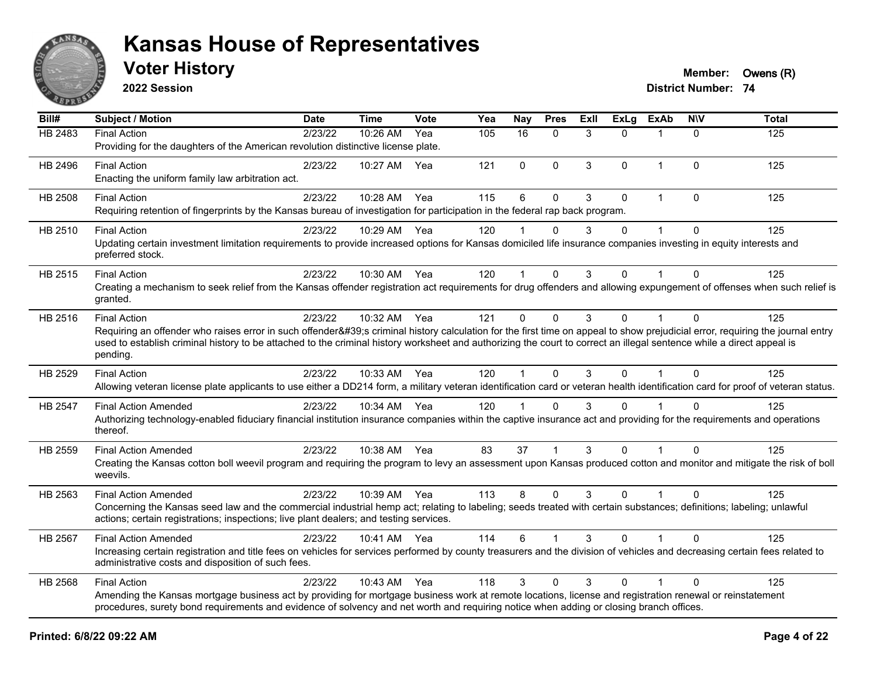

**2022 Session**

**District Number: 74 Voter History Member: Owens** (R)

| Bill#          | <b>Subject / Motion</b>                                                                                                                                                                                                                                                                                                                                                                | <b>Date</b> | <b>Time</b>  | Vote | Yea | Nay                  | <b>Pres</b> | ExII | <b>ExLg</b> | <b>ExAb</b>    | <b>NIV</b>   | <b>Total</b> |
|----------------|----------------------------------------------------------------------------------------------------------------------------------------------------------------------------------------------------------------------------------------------------------------------------------------------------------------------------------------------------------------------------------------|-------------|--------------|------|-----|----------------------|-------------|------|-------------|----------------|--------------|--------------|
| HB 2483        | <b>Final Action</b><br>Providing for the daughters of the American revolution distinctive license plate.                                                                                                                                                                                                                                                                               | 2/23/22     | 10:26 AM     | Yea  | 105 | 16                   | $\Omega$    | 3    | $\Omega$    |                | $\mathbf{0}$ | 125          |
| HB 2496        | <b>Final Action</b><br>Enacting the uniform family law arbitration act.                                                                                                                                                                                                                                                                                                                | 2/23/22     | 10:27 AM     | Yea  | 121 | 0                    | $\Omega$    | 3    | 0           | $\mathbf{1}$   | $\mathbf{0}$ | 125          |
| <b>HB 2508</b> | <b>Final Action</b><br>Requiring retention of fingerprints by the Kansas bureau of investigation for participation in the federal rap back program.                                                                                                                                                                                                                                    | 2/23/22     | 10:28 AM     | Yea  | 115 | 6                    | $\Omega$    | 3    | $\Omega$    | 1              | $\Omega$     | 125          |
| HB 2510        | <b>Final Action</b><br>Updating certain investment limitation requirements to provide increased options for Kansas domiciled life insurance companies investing in equity interests and<br>preferred stock.                                                                                                                                                                            | 2/23/22     | 10:29 AM     | Yea  | 120 |                      | $\Omega$    | 3    | $\Omega$    |                | $\Omega$     | 125          |
| HB 2515        | <b>Final Action</b><br>Creating a mechanism to seek relief from the Kansas offender registration act requirements for drug offenders and allowing expungement of offenses when such relief is<br>granted.                                                                                                                                                                              | 2/23/22     | 10:30 AM     | Yea  | 120 | $\mathbf{1}$         | $\Omega$    | 3    | $\Omega$    | 1              | $\Omega$     | 125          |
| HB 2516        | <b>Final Action</b><br>Requiring an offender who raises error in such offender's criminal history calculation for the first time on appeal to show prejudicial error, requiring the journal entry<br>used to establish criminal history to be attached to the criminal history worksheet and authorizing the court to correct an illegal sentence while a direct appeal is<br>pending. | 2/23/22     | 10:32 AM Yea |      | 121 | $\Omega$             | $\Omega$    | 3    | $\Omega$    |                | $\Omega$     | 125          |
| HB 2529        | <b>Final Action</b><br>Allowing veteran license plate applicants to use either a DD214 form, a military veteran identification card or veteran health identification card for proof of veteran status.                                                                                                                                                                                 | 2/23/22     | 10:33 AM Yea |      | 120 | $\mathbf 1$          | $\Omega$    | 3    | 0           |                | $\Omega$     | 125          |
| HB 2547        | <b>Final Action Amended</b><br>Authorizing technology-enabled fiduciary financial institution insurance companies within the captive insurance act and providing for the requirements and operations<br>thereof.                                                                                                                                                                       | 2/23/22     | 10:34 AM Yea |      | 120 | $\blacktriangleleft$ | $\Omega$    | 3    | $\Omega$    |                | $\Omega$     | 125          |
| HB 2559        | <b>Final Action Amended</b><br>Creating the Kansas cotton boll weevil program and requiring the program to levy an assessment upon Kansas produced cotton and monitor and mitigate the risk of boll<br>weevils.                                                                                                                                                                        | 2/23/22     | 10:38 AM     | Yea  | 83  | 37                   |             | 3    | $\Omega$    |                | $\Omega$     | 125          |
| HB 2563        | <b>Final Action Amended</b><br>Concerning the Kansas seed law and the commercial industrial hemp act; relating to labeling; seeds treated with certain substances; definitions; labeling; unlawful<br>actions; certain registrations; inspections; live plant dealers; and testing services.                                                                                           | 2/23/22     | 10:39 AM Yea |      | 113 | 8                    | $\Omega$    | 3    | $\Omega$    | $\mathbf 1$    | $\Omega$     | 125          |
| <b>HB 2567</b> | <b>Final Action Amended</b><br>Increasing certain registration and title fees on vehicles for services performed by county treasurers and the division of vehicles and decreasing certain fees related to<br>administrative costs and disposition of such fees.                                                                                                                        | 2/23/22     | 10:41 AM Yea |      | 114 | 6                    |             | 3    | $\Omega$    |                | $\Omega$     | 125          |
| HB 2568        | <b>Final Action</b><br>Amending the Kansas mortgage business act by providing for mortgage business work at remote locations, license and registration renewal or reinstatement<br>procedures, surety bond requirements and evidence of solvency and net worth and requiring notice when adding or closing branch offices.                                                             | 2/23/22     | 10:43 AM     | Yea  | 118 | 3                    | $\Omega$    | 3    | 0           | $\overline{1}$ | $\Omega$     | 125          |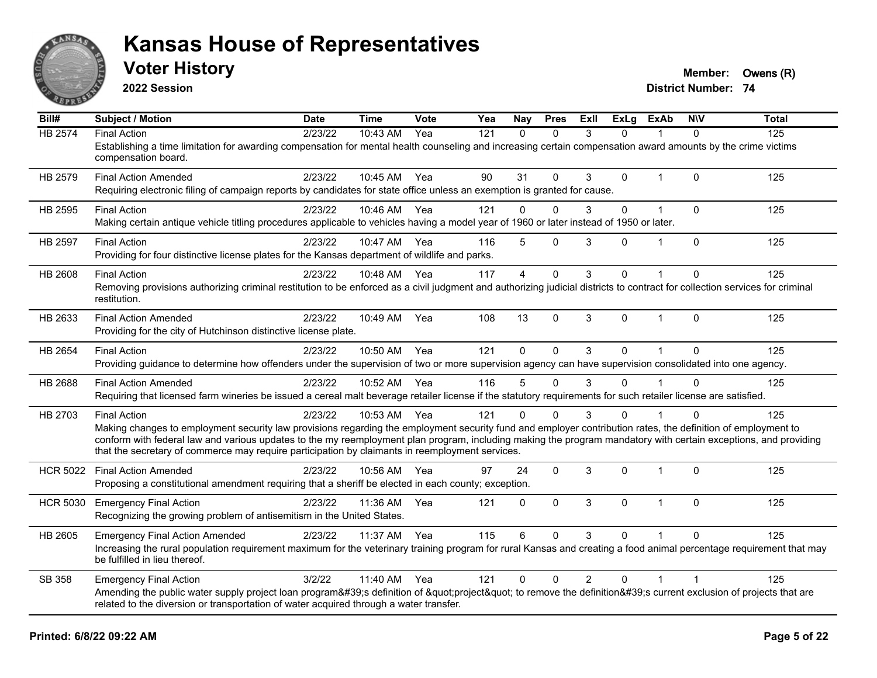

**2022 Session**

**Voter History Member: Owens** (R)

| Bill#           | <b>Subject / Motion</b>                                                                                                                                                                                                                                            | <b>Date</b> | <b>Time</b> | Vote | Yea | Nay            | <b>Pres</b>  | ExII           | <b>ExLg</b>  | <b>ExAb</b>    | <b>NIV</b>     | <b>Total</b> |
|-----------------|--------------------------------------------------------------------------------------------------------------------------------------------------------------------------------------------------------------------------------------------------------------------|-------------|-------------|------|-----|----------------|--------------|----------------|--------------|----------------|----------------|--------------|
| <b>HB 2574</b>  | <b>Final Action</b>                                                                                                                                                                                                                                                | 2/23/22     | 10:43 AM    | Yea  | 121 | $\mathbf{0}$   | $\Omega$     | 3              | $\Omega$     |                | 0              | 125          |
|                 | Establishing a time limitation for awarding compensation for mental health counseling and increasing certain compensation award amounts by the crime victims<br>compensation board.                                                                                |             |             |      |     |                |              |                |              |                |                |              |
| HB 2579         | <b>Final Action Amended</b>                                                                                                                                                                                                                                        | 2/23/22     | 10:45 AM    | Yea  | 90  | 31             | $\Omega$     | 3              | $\Omega$     | $\mathbf{1}$   | $\mathbf{0}$   | 125          |
|                 | Requiring electronic filing of campaign reports by candidates for state office unless an exemption is granted for cause.                                                                                                                                           |             |             |      |     |                |              |                |              |                |                |              |
| HB 2595         | <b>Final Action</b>                                                                                                                                                                                                                                                | 2/23/22     | 10:46 AM    | Yea  | 121 | 0              | $\Omega$     | 3              | $\mathbf 0$  | $\mathbf 1$    | $\mathbf 0$    | 125          |
|                 | Making certain antique vehicle titling procedures applicable to vehicles having a model year of 1960 or later instead of 1950 or later.                                                                                                                            |             |             |      |     |                |              |                |              |                |                |              |
| <b>HB 2597</b>  | <b>Final Action</b>                                                                                                                                                                                                                                                | 2/23/22     | 10:47 AM    | Yea  | 116 | 5              | $\mathbf{0}$ | 3              | 0            | 1              | $\mathbf{0}$   | 125          |
|                 | Providing for four distinctive license plates for the Kansas department of wildlife and parks.                                                                                                                                                                     |             |             |      |     |                |              |                |              |                |                |              |
| HB 2608         | <b>Final Action</b>                                                                                                                                                                                                                                                | 2/23/22     | 10:48 AM    | Yea  | 117 | $\overline{4}$ | $\mathbf{0}$ | 3              | $\Omega$     |                | $\mathbf 0$    | 125          |
|                 | Removing provisions authorizing criminal restitution to be enforced as a civil judgment and authorizing judicial districts to contract for collection services for criminal<br>restitution.                                                                        |             |             |      |     |                |              |                |              |                |                |              |
| HB 2633         | <b>Final Action Amended</b>                                                                                                                                                                                                                                        | 2/23/22     | 10:49 AM    | Yea  | 108 | 13             | $\Omega$     | 3              | $\mathbf{0}$ | $\mathbf{1}$   | $\mathbf{0}$   | 125          |
|                 | Providing for the city of Hutchinson distinctive license plate.                                                                                                                                                                                                    |             |             |      |     |                |              |                |              |                |                |              |
| HB 2654         | <b>Final Action</b>                                                                                                                                                                                                                                                | 2/23/22     | 10:50 AM    | Yea  | 121 | $\Omega$       | $\Omega$     | 3              | $\Omega$     | $\overline{1}$ | $\Omega$       | 125          |
|                 | Providing guidance to determine how offenders under the supervision of two or more supervision agency can have supervision consolidated into one agency.                                                                                                           |             |             |      |     |                |              |                |              |                |                |              |
| <b>HB 2688</b>  | <b>Final Action Amended</b>                                                                                                                                                                                                                                        | 2/23/22     | 10:52 AM    | Yea  | 116 | 5              | $\Omega$     | 3              | 0            |                | $\Omega$       | 125          |
|                 | Requiring that licensed farm wineries be issued a cereal malt beverage retailer license if the statutory requirements for such retailer license are satisfied.                                                                                                     |             |             |      |     |                |              |                |              |                |                |              |
| HB 2703         | <b>Final Action</b>                                                                                                                                                                                                                                                | 2/23/22     | 10:53 AM    | Yea  | 121 | $\Omega$       | $\Omega$     | 3              | 0            |                | $\Omega$       | 125          |
|                 | Making changes to employment security law provisions regarding the employment security fund and employer contribution rates, the definition of employment to                                                                                                       |             |             |      |     |                |              |                |              |                |                |              |
|                 | conform with federal law and various updates to the my reemployment plan program, including making the program mandatory with certain exceptions, and providing<br>that the secretary of commerce may require participation by claimants in reemployment services. |             |             |      |     |                |              |                |              |                |                |              |
| <b>HCR 5022</b> | <b>Final Action Amended</b>                                                                                                                                                                                                                                        | 2/23/22     | 10:56 AM    | Yea  | 97  | 24             | $\mathbf 0$  | 3              | 0            | $\mathbf 1$    | $\mathbf 0$    | 125          |
|                 | Proposing a constitutional amendment requiring that a sheriff be elected in each county; exception.                                                                                                                                                                |             |             |      |     |                |              |                |              |                |                |              |
| <b>HCR 5030</b> | <b>Emergency Final Action</b>                                                                                                                                                                                                                                      | 2/23/22     | 11:36 AM    | Yea  | 121 | $\Omega$       | $\Omega$     | 3              | $\Omega$     | $\mathbf{1}$   | $\mathbf{0}$   | 125          |
|                 | Recognizing the growing problem of antisemitism in the United States.                                                                                                                                                                                              |             |             |      |     |                |              |                |              |                |                |              |
| HB 2605         | <b>Emergency Final Action Amended</b>                                                                                                                                                                                                                              | 2/23/22     | 11:37 AM    | Yea  | 115 | 6              | $\Omega$     | 3              | 0            |                | $\Omega$       | 125          |
|                 | Increasing the rural population requirement maximum for the veterinary training program for rural Kansas and creating a food animal percentage requirement that may<br>be fulfilled in lieu thereof.                                                               |             |             |      |     |                |              |                |              |                |                |              |
| SB 358          | <b>Emergency Final Action</b>                                                                                                                                                                                                                                      | 3/2/22      | 11:40 AM    | Yea  | 121 | 0              | $\Omega$     | $\overline{2}$ | $\Omega$     | 1              | $\overline{1}$ | 125          |
|                 | Amending the public water supply project loan program's definition of "project" to remove the definition's current exclusion of projects that are<br>related to the diversion or transportation of water acquired through a water transfer.                        |             |             |      |     |                |              |                |              |                |                |              |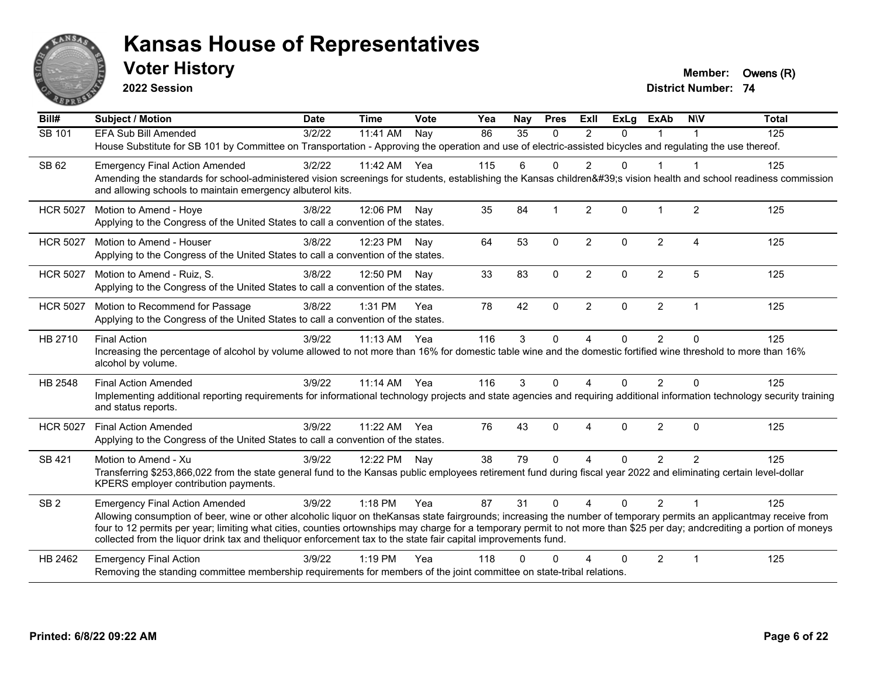

**2022 Session**

**Voter History Member: Owens** (R)

| Bill#           | <b>Subject / Motion</b>                                                                                                                                                                                                                                                                                                                                                                                                                                             | <b>Date</b> | <b>Time</b> | Vote | Yea | Nay      | <b>Pres</b>    | ExII           | <b>ExLg</b> | <b>ExAb</b>    | <b>NIV</b>     | <b>Total</b> |
|-----------------|---------------------------------------------------------------------------------------------------------------------------------------------------------------------------------------------------------------------------------------------------------------------------------------------------------------------------------------------------------------------------------------------------------------------------------------------------------------------|-------------|-------------|------|-----|----------|----------------|----------------|-------------|----------------|----------------|--------------|
| SB 101          | EFA Sub Bill Amended                                                                                                                                                                                                                                                                                                                                                                                                                                                | 3/2/22      | 11:41 AM    | Nay  | 86  | 35       | $\Omega$       | $\mathfrak{p}$ | $\Omega$    |                |                | 125          |
|                 | House Substitute for SB 101 by Committee on Transportation - Approving the operation and use of electric-assisted bicycles and regulating the use thereof.                                                                                                                                                                                                                                                                                                          |             |             |      |     |          |                |                |             |                |                |              |
| SB 62           | <b>Emergency Final Action Amended</b>                                                                                                                                                                                                                                                                                                                                                                                                                               | 3/2/22      | 11:42 AM    | Yea  | 115 | 6        | $\Omega$       | $\overline{2}$ | $\Omega$    | $\mathbf{1}$   | -1             | 125          |
|                 | Amending the standards for school-administered vision screenings for students, establishing the Kansas children's vision health and school readiness commission<br>and allowing schools to maintain emergency albuterol kits.                                                                                                                                                                                                                                       |             |             |      |     |          |                |                |             |                |                |              |
| <b>HCR 5027</b> | Motion to Amend - Hoye                                                                                                                                                                                                                                                                                                                                                                                                                                              | 3/8/22      | 12:06 PM    | Nav  | 35  | 84       | $\overline{1}$ | 2              | $\Omega$    | $\mathbf 1$    | $\overline{2}$ | 125          |
|                 | Applying to the Congress of the United States to call a convention of the states.                                                                                                                                                                                                                                                                                                                                                                                   |             |             |      |     |          |                |                |             |                |                |              |
| <b>HCR 5027</b> | Motion to Amend - Houser                                                                                                                                                                                                                                                                                                                                                                                                                                            | 3/8/22      | 12:23 PM    | Nav  | 64  | 53       | $\mathbf 0$    | $\overline{2}$ | $\Omega$    | $\overline{2}$ | $\overline{4}$ | 125          |
|                 | Applying to the Congress of the United States to call a convention of the states.                                                                                                                                                                                                                                                                                                                                                                                   |             |             |      |     |          |                |                |             |                |                |              |
| <b>HCR 5027</b> | Motion to Amend - Ruiz, S.                                                                                                                                                                                                                                                                                                                                                                                                                                          | 3/8/22      | 12:50 PM    | Nav  | 33  | 83       | $\mathbf 0$    | $\overline{2}$ | 0           | $\overline{2}$ | 5              | 125          |
|                 | Applying to the Congress of the United States to call a convention of the states.                                                                                                                                                                                                                                                                                                                                                                                   |             |             |      |     |          |                |                |             |                |                |              |
| <b>HCR 5027</b> | Motion to Recommend for Passage                                                                                                                                                                                                                                                                                                                                                                                                                                     | 3/8/22      | 1:31 PM     | Yea  | 78  | 42       | $\mathbf{0}$   | $\overline{2}$ | $\Omega$    | $\overline{2}$ | $\overline{1}$ | 125          |
|                 | Applying to the Congress of the United States to call a convention of the states.                                                                                                                                                                                                                                                                                                                                                                                   |             |             |      |     |          |                |                |             |                |                |              |
| HB 2710         | <b>Final Action</b>                                                                                                                                                                                                                                                                                                                                                                                                                                                 | 3/9/22      | $11:13$ AM  | Yea  | 116 | 3        | $\Omega$       | $\overline{A}$ | 0           | $\overline{2}$ | $\Omega$       | 125          |
|                 | Increasing the percentage of alcohol by volume allowed to not more than 16% for domestic table wine and the domestic fortified wine threshold to more than 16%<br>alcohol by volume.                                                                                                                                                                                                                                                                                |             |             |      |     |          |                |                |             |                |                |              |
| HB 2548         | <b>Final Action Amended</b>                                                                                                                                                                                                                                                                                                                                                                                                                                         | 3/9/22      | $11:14$ AM  | Yea  | 116 | 3        | $\Omega$       | 4              | 0           | 2              | $\Omega$       | 125          |
|                 | Implementing additional reporting requirements for informational technology projects and state agencies and requiring additional information technology security training<br>and status reports.                                                                                                                                                                                                                                                                    |             |             |      |     |          |                |                |             |                |                |              |
| <b>HCR 5027</b> | <b>Final Action Amended</b>                                                                                                                                                                                                                                                                                                                                                                                                                                         | 3/9/22      | 11:22 AM    | Yea  | 76  | 43       | $\Omega$       | 4              | $\Omega$    | 2              | $\Omega$       | 125          |
|                 | Applying to the Congress of the United States to call a convention of the states.                                                                                                                                                                                                                                                                                                                                                                                   |             |             |      |     |          |                |                |             |                |                |              |
| SB 421          | Motion to Amend - Xu                                                                                                                                                                                                                                                                                                                                                                                                                                                | 3/9/22      | 12:22 PM    | Nay  | 38  | 79       | $\Omega$       | 4              | $\Omega$    | $\overline{2}$ | 2              | 125          |
|                 | Transferring \$253,866,022 from the state general fund to the Kansas public employees retirement fund during fiscal year 2022 and eliminating certain level-dollar<br>KPERS employer contribution payments.                                                                                                                                                                                                                                                         |             |             |      |     |          |                |                |             |                |                |              |
| SB <sub>2</sub> | <b>Emergency Final Action Amended</b>                                                                                                                                                                                                                                                                                                                                                                                                                               | 3/9/22      | 1:18 PM     | Yea  | 87  | 31       | $\Omega$       | $\overline{4}$ | $\Omega$    | $\mathcal{P}$  | $\overline{1}$ | 125          |
|                 | Allowing consumption of beer, wine or other alcoholic liquor on theKansas state fairgrounds; increasing the number of temporary permits an applicantmay receive from<br>four to 12 permits per year; limiting what cities, counties ortownships may charge for a temporary permit to not more than \$25 per day; andcrediting a portion of moneys<br>collected from the liquor drink tax and theliquor enforcement tax to the state fair capital improvements fund. |             |             |      |     |          |                |                |             |                |                |              |
| HB 2462         | <b>Emergency Final Action</b>                                                                                                                                                                                                                                                                                                                                                                                                                                       | 3/9/22      | $1:19$ PM   | Yea  | 118 | $\Omega$ | O              |                | $\Omega$    | $\overline{2}$ | $\overline{1}$ | 125          |
|                 | Removing the standing committee membership requirements for members of the joint committee on state-tribal relations.                                                                                                                                                                                                                                                                                                                                               |             |             |      |     |          |                |                |             |                |                |              |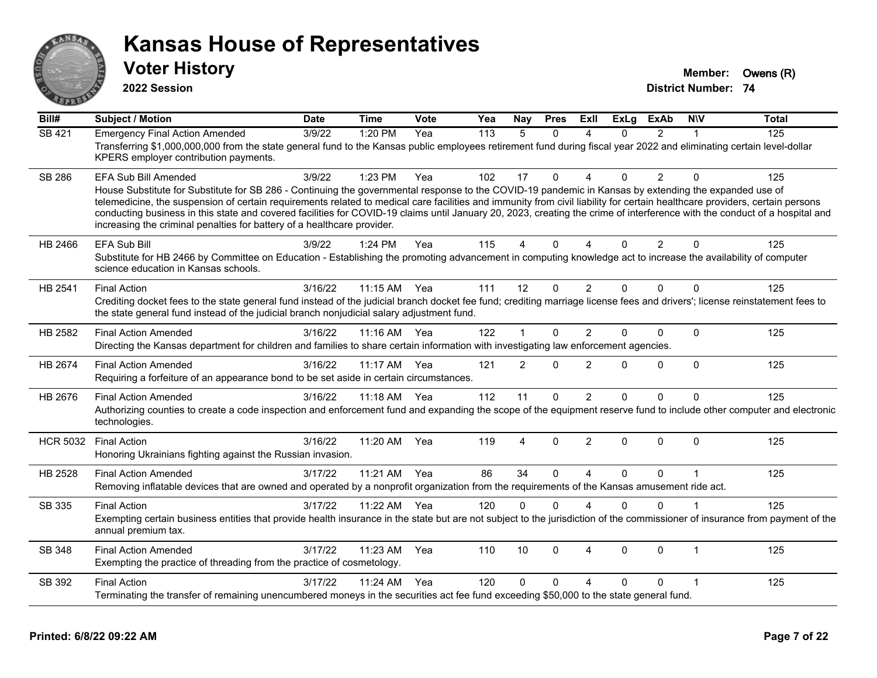

**2022 Session**

**Voter History Member: Owens** (R)

| Bill#           | <b>Subject / Motion</b>                                                                                                                                                                                                                                                                                                                                                                                                                                                                                                                                                                                               | <b>Date</b> | <b>Time</b> | Vote | Yea | Nay            | <b>Pres</b> | ExII                   | <b>ExLg</b> | <b>ExAb</b>    | <b>NIV</b>   | <b>Total</b> |
|-----------------|-----------------------------------------------------------------------------------------------------------------------------------------------------------------------------------------------------------------------------------------------------------------------------------------------------------------------------------------------------------------------------------------------------------------------------------------------------------------------------------------------------------------------------------------------------------------------------------------------------------------------|-------------|-------------|------|-----|----------------|-------------|------------------------|-------------|----------------|--------------|--------------|
| <b>SB 421</b>   | <b>Emergency Final Action Amended</b><br>Transferring \$1,000,000,000 from the state general fund to the Kansas public employees retirement fund during fiscal year 2022 and eliminating certain level-dollar<br>KPERS employer contribution payments.                                                                                                                                                                                                                                                                                                                                                                | 3/9/22      | 1:20 PM     | Yea  | 113 | 5              | $\Omega$    | $\overline{A}$         | $\Omega$    | $\mathfrak{p}$ |              | 125          |
| <b>SB 286</b>   | EFA Sub Bill Amended<br>House Substitute for Substitute for SB 286 - Continuing the governmental response to the COVID-19 pandemic in Kansas by extending the expanded use of<br>telemedicine, the suspension of certain requirements related to medical care facilities and immunity from civil liability for certain healthcare providers, certain persons<br>conducting business in this state and covered facilities for COVID-19 claims until January 20, 2023, creating the crime of interference with the conduct of a hospital and<br>increasing the criminal penalties for battery of a healthcare provider. | 3/9/22      | 1:23 PM     | Yea  | 102 | 17             | $\Omega$    | $\Lambda$              | $\Omega$    | $\overline{2}$ | $\Omega$     | 125          |
| HB 2466         | <b>EFA Sub Bill</b><br>Substitute for HB 2466 by Committee on Education - Establishing the promoting advancement in computing knowledge act to increase the availability of computer<br>science education in Kansas schools.                                                                                                                                                                                                                                                                                                                                                                                          | 3/9/22      | 1:24 PM     | Yea  | 115 | 4              | $\Omega$    | $\boldsymbol{\Delta}$  | $\Omega$    | 2              | $\Omega$     | 125          |
| HB 2541         | <b>Final Action</b><br>Crediting docket fees to the state general fund instead of the judicial branch docket fee fund; crediting marriage license fees and drivers'; license reinstatement fees to<br>the state general fund instead of the judicial branch nonjudicial salary adjustment fund.                                                                                                                                                                                                                                                                                                                       | 3/16/22     | 11:15 AM    | Yea  | 111 | 12             | $\Omega$    | 2                      | $\Omega$    | $\Omega$       | $\Omega$     | 125          |
| HB 2582         | <b>Final Action Amended</b><br>Directing the Kansas department for children and families to share certain information with investigating law enforcement agencies.                                                                                                                                                                                                                                                                                                                                                                                                                                                    | 3/16/22     | $11:16$ AM  | Yea  | 122 | $\mathbf 1$    | $\Omega$    | $\overline{2}$         | $\Omega$    | $\Omega$       | $\Omega$     | 125          |
| HB 2674         | <b>Final Action Amended</b><br>Requiring a forfeiture of an appearance bond to be set aside in certain circumstances.                                                                                                                                                                                                                                                                                                                                                                                                                                                                                                 | 3/16/22     | 11:17 AM    | Yea  | 121 | $\overline{2}$ | $\Omega$    | $\overline{2}$         | 0           | $\Omega$       | $\Omega$     | 125          |
| HB 2676         | <b>Final Action Amended</b><br>Authorizing counties to create a code inspection and enforcement fund and expanding the scope of the equipment reserve fund to include other computer and electronic<br>technologies.                                                                                                                                                                                                                                                                                                                                                                                                  | 3/16/22     | $11:18$ AM  | Yea  | 112 | 11             | $\Omega$    | $\overline{2}$         | 0           | $\Omega$       | $\mathbf{0}$ | 125          |
| <b>HCR 5032</b> | <b>Final Action</b><br>Honoring Ukrainians fighting against the Russian invasion.                                                                                                                                                                                                                                                                                                                                                                                                                                                                                                                                     | 3/16/22     | 11:20 AM    | Yea  | 119 | 4              | $\Omega$    | 2                      | $\Omega$    | $\Omega$       | $\Omega$     | 125          |
| HB 2528         | <b>Final Action Amended</b><br>Removing inflatable devices that are owned and operated by a nonprofit organization from the requirements of the Kansas amusement ride act.                                                                                                                                                                                                                                                                                                                                                                                                                                            | 3/17/22     | 11:21 AM    | Yea  | 86  | 34             | $\Omega$    | $\overline{a}$         | $\Omega$    | $\Omega$       |              | 125          |
| SB 335          | <b>Final Action</b><br>Exempting certain business entities that provide health insurance in the state but are not subject to the jurisdiction of the commissioner of insurance from payment of the<br>annual premium tax.                                                                                                                                                                                                                                                                                                                                                                                             | 3/17/22     | 11:22 AM    | Yea  | 120 | $\mathbf{0}$   | $\Omega$    | $\boldsymbol{\Lambda}$ | $\Omega$    | $\Omega$       |              | 125          |
| <b>SB 348</b>   | <b>Final Action Amended</b><br>Exempting the practice of threading from the practice of cosmetology.                                                                                                                                                                                                                                                                                                                                                                                                                                                                                                                  | 3/17/22     | 11:23 AM    | Yea  | 110 | 10             | $\Omega$    | $\boldsymbol{\Lambda}$ | $\Omega$    | $\Omega$       | $\mathbf{1}$ | 125          |
| SB 392          | <b>Final Action</b><br>Terminating the transfer of remaining unencumbered moneys in the securities act fee fund exceeding \$50,000 to the state general fund.                                                                                                                                                                                                                                                                                                                                                                                                                                                         | 3/17/22     | 11:24 AM    | Yea  | 120 | $\Omega$       | $\Omega$    | Δ                      | 0           | $\Omega$       | -1           | 125          |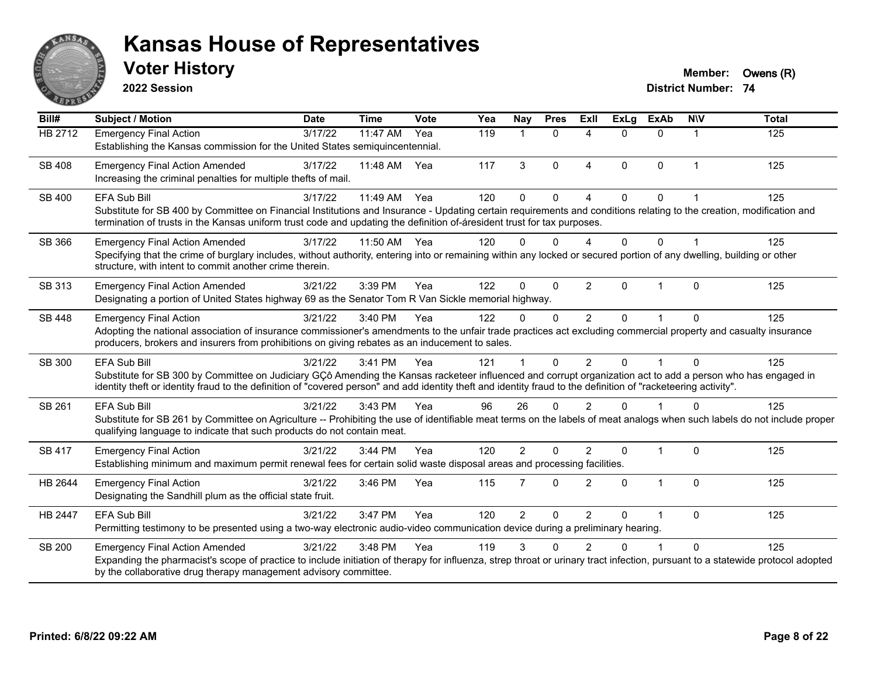

**2022 Session**

**District Number: 74 Voter History Member: Owens** (R)

| Bill#          | <b>Subject / Motion</b>                                                                                                                                                                                                                                                                                                        | <b>Date</b> | <b>Time</b> | <b>Vote</b> | Yea | Nay            | <b>Pres</b>  | ExII                   | <b>ExLg</b> | <b>ExAb</b>  | <b>NIV</b>     | <b>Total</b>     |
|----------------|--------------------------------------------------------------------------------------------------------------------------------------------------------------------------------------------------------------------------------------------------------------------------------------------------------------------------------|-------------|-------------|-------------|-----|----------------|--------------|------------------------|-------------|--------------|----------------|------------------|
| <b>HB 2712</b> | <b>Emergency Final Action</b>                                                                                                                                                                                                                                                                                                  | 3/17/22     | 11:47 AM    | Yea         | 119 | 1              | $\mathbf{0}$ | $\boldsymbol{\Lambda}$ | $\Omega$    | $\Omega$     | $\mathbf 1$    | $\overline{125}$ |
|                | Establishing the Kansas commission for the United States semiquincentennial.                                                                                                                                                                                                                                                   |             |             |             |     |                |              |                        |             |              |                |                  |
| SB 408         | <b>Emergency Final Action Amended</b>                                                                                                                                                                                                                                                                                          | 3/17/22     | 11:48 AM    | Yea         | 117 | 3              | $\mathbf{0}$ | $\boldsymbol{\Lambda}$ | $\Omega$    | $\Omega$     | $\overline{1}$ | 125              |
|                | Increasing the criminal penalties for multiple thefts of mail.                                                                                                                                                                                                                                                                 |             |             |             |     |                |              |                        |             |              |                |                  |
| SB 400         | <b>EFA Sub Bill</b>                                                                                                                                                                                                                                                                                                            | 3/17/22     | 11:49 AM    | Yea         | 120 | $\Omega$       | $\Omega$     | $\Lambda$              | $\Omega$    | 0            |                | 125              |
|                | Substitute for SB 400 by Committee on Financial Institutions and Insurance - Updating certain requirements and conditions relating to the creation, modification and                                                                                                                                                           |             |             |             |     |                |              |                        |             |              |                |                  |
|                | termination of trusts in the Kansas uniform trust code and updating the definition of-áresident trust for tax purposes.                                                                                                                                                                                                        |             |             |             |     |                |              |                        |             |              |                |                  |
| SB 366         | <b>Emergency Final Action Amended</b>                                                                                                                                                                                                                                                                                          | 3/17/22     | 11:50 AM    | Yea         | 120 | 0              | $\Omega$     | Λ                      | 0           | $\Omega$     |                | 125              |
|                | Specifying that the crime of burglary includes, without authority, entering into or remaining within any locked or secured portion of any dwelling, building or other                                                                                                                                                          |             |             |             |     |                |              |                        |             |              |                |                  |
|                | structure, with intent to commit another crime therein.                                                                                                                                                                                                                                                                        |             |             |             |     |                |              |                        |             |              |                |                  |
| SB 313         | <b>Emergency Final Action Amended</b>                                                                                                                                                                                                                                                                                          | 3/21/22     | 3:39 PM     | Yea         | 122 | 0              | $\Omega$     | 2                      | 0           |              | $\Omega$       | 125              |
|                | Designating a portion of United States highway 69 as the Senator Tom R Van Sickle memorial highway.                                                                                                                                                                                                                            |             |             |             |     |                |              |                        |             |              |                |                  |
| SB 448         | <b>Emergency Final Action</b>                                                                                                                                                                                                                                                                                                  | 3/21/22     | 3:40 PM     | Yea         | 122 | 0              | $\Omega$     | 2                      | $\Omega$    |              | <sup>0</sup>   | 125              |
|                | Adopting the national association of insurance commissioner's amendments to the unfair trade practices act excluding commercial property and casualty insurance                                                                                                                                                                |             |             |             |     |                |              |                        |             |              |                |                  |
|                | producers, brokers and insurers from prohibitions on giving rebates as an inducement to sales.                                                                                                                                                                                                                                 |             |             |             |     |                |              |                        |             |              |                |                  |
| SB 300         | <b>EFA Sub Bill</b>                                                                                                                                                                                                                                                                                                            | 3/21/22     | 3:41 PM     | Yea         | 121 |                | $\Omega$     | $\mathfrak{p}$         | $\Omega$    | 1            | $\Omega$       | 125              |
|                | Substitute for SB 300 by Committee on Judiciary GÇô Amending the Kansas racketeer influenced and corrupt organization act to add a person who has engaged in<br>identity theft or identity fraud to the definition of "covered person" and add identity theft and identity fraud to the definition of "racketeering activity". |             |             |             |     |                |              |                        |             |              |                |                  |
|                |                                                                                                                                                                                                                                                                                                                                |             |             |             |     |                |              |                        |             |              |                |                  |
| SB 261         | <b>EFA Sub Bill</b>                                                                                                                                                                                                                                                                                                            | 3/21/22     | 3:43 PM     | Yea         | 96  | 26             | $\Omega$     | $\mathfrak{p}$         | $\Omega$    |              | $\Omega$       | 125              |
|                | Substitute for SB 261 by Committee on Agriculture -- Prohibiting the use of identifiable meat terms on the labels of meat analogs when such labels do not include proper<br>qualifying language to indicate that such products do not contain meat.                                                                            |             |             |             |     |                |              |                        |             |              |                |                  |
|                |                                                                                                                                                                                                                                                                                                                                | 3/21/22     | 3:44 PM     | Yea         | 120 | $\overline{2}$ | $\Omega$     | $\mathfrak{p}$         | 0           | $\mathbf 1$  | $\Omega$       | 125              |
| SB 417         | <b>Emergency Final Action</b><br>Establishing minimum and maximum permit renewal fees for certain solid waste disposal areas and processing facilities.                                                                                                                                                                        |             |             |             |     |                |              |                        |             |              |                |                  |
|                |                                                                                                                                                                                                                                                                                                                                |             |             |             |     |                |              |                        |             |              |                |                  |
| HB 2644        | <b>Emergency Final Action</b><br>Designating the Sandhill plum as the official state fruit.                                                                                                                                                                                                                                    | 3/21/22     | 3:46 PM     | Yea         | 115 | $\overline{7}$ | $\Omega$     | $\mathfrak{p}$         | $\Omega$    | $\mathbf{1}$ | $\Omega$       | 125              |
|                |                                                                                                                                                                                                                                                                                                                                |             |             |             |     |                |              |                        |             |              |                |                  |
| HB 2447        | <b>EFA Sub Bill</b>                                                                                                                                                                                                                                                                                                            | 3/21/22     | 3:47 PM     | Yea         | 120 | $\overline{2}$ | $\mathbf 0$  | 2                      | $\Omega$    | $\mathbf{1}$ | $\mathbf{0}$   | 125              |
|                | Permitting testimony to be presented using a two-way electronic audio-video communication device during a preliminary hearing.                                                                                                                                                                                                 |             |             |             |     |                |              |                        |             |              |                |                  |
| SB 200         | <b>Emergency Final Action Amended</b>                                                                                                                                                                                                                                                                                          | 3/21/22     | 3:48 PM     | Yea         | 119 | 3              | $\Omega$     | $\mathfrak{p}$         | $\Omega$    | $\mathbf 1$  | $\Omega$       | 125              |
|                | Expanding the pharmacist's scope of practice to include initiation of therapy for influenza, strep throat or urinary tract infection, pursuant to a statewide protocol adopted<br>by the collaborative drug therapy management advisory committee.                                                                             |             |             |             |     |                |              |                        |             |              |                |                  |
|                |                                                                                                                                                                                                                                                                                                                                |             |             |             |     |                |              |                        |             |              |                |                  |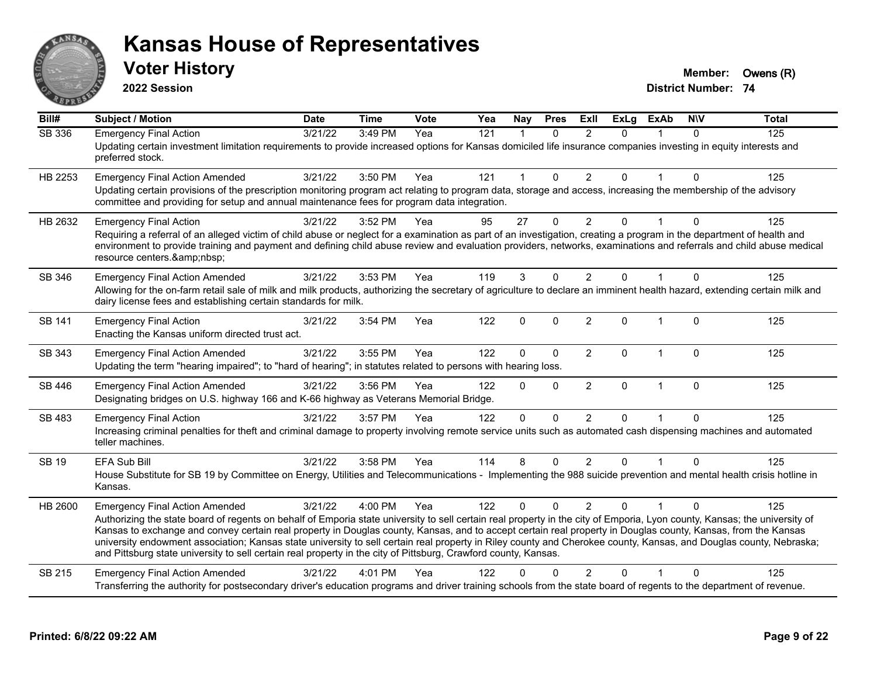

**2022 Session**

**Voter History Member: Owens** (R)

| Bill#         | <b>Subject / Motion</b>                                                                                                                                                                                                                                                                                                                                                                                                                                                                                                                                                                                                                                                      | <b>Date</b>      | <b>Time</b> | <b>Vote</b> | Yea | Nay                  | <b>Pres</b>  | Exll           | <b>ExLg</b>  | <b>ExAb</b>    | <b>NIV</b>  | <b>Total</b> |
|---------------|------------------------------------------------------------------------------------------------------------------------------------------------------------------------------------------------------------------------------------------------------------------------------------------------------------------------------------------------------------------------------------------------------------------------------------------------------------------------------------------------------------------------------------------------------------------------------------------------------------------------------------------------------------------------------|------------------|-------------|-------------|-----|----------------------|--------------|----------------|--------------|----------------|-------------|--------------|
| <b>SB 336</b> | <b>Emergency Final Action</b><br>Updating certain investment limitation requirements to provide increased options for Kansas domiciled life insurance companies investing in equity interests and<br>preferred stock.                                                                                                                                                                                                                                                                                                                                                                                                                                                        | $\sqrt{3}/21/22$ | 3:49 PM     | Yea         | 121 | $\blacktriangleleft$ | $\mathbf{0}$ | 2              | $\Omega$     |                | $\Omega$    | 125          |
| HB 2253       | <b>Emergency Final Action Amended</b><br>Updating certain provisions of the prescription monitoring program act relating to program data, storage and access, increasing the membership of the advisory<br>committee and providing for setup and annual maintenance fees for program data integration.                                                                                                                                                                                                                                                                                                                                                                       | 3/21/22          | 3:50 PM     | Yea         | 121 | $\blacktriangleleft$ | $\Omega$     | $\overline{2}$ | $\Omega$     |                | $\Omega$    | 125          |
| HB 2632       | <b>Emergency Final Action</b><br>Requiring a referral of an alleged victim of child abuse or neglect for a examination as part of an investigation, creating a program in the department of health and<br>environment to provide training and payment and defining child abuse review and evaluation providers, networks, examinations and referrals and child abuse medical<br>resource centers.                                                                                                                                                                                                                                                                            | 3/21/22          | 3:52 PM     | Yea         | 95  | 27                   | $\mathbf 0$  | $\overline{2}$ | $\Omega$     | $\overline{1}$ | $\Omega$    | 125          |
| SB 346        | <b>Emergency Final Action Amended</b><br>Allowing for the on-farm retail sale of milk and milk products, authorizing the secretary of agriculture to declare an imminent health hazard, extending certain milk and<br>dairy license fees and establishing certain standards for milk.                                                                                                                                                                                                                                                                                                                                                                                        | 3/21/22          | 3:53 PM     | Yea         | 119 | 3                    | $\Omega$     | 2              | 0            |                | $\Omega$    | 125          |
| SB 141        | <b>Emergency Final Action</b><br>Enacting the Kansas uniform directed trust act.                                                                                                                                                                                                                                                                                                                                                                                                                                                                                                                                                                                             | 3/21/22          | 3:54 PM     | Yea         | 122 | $\mathbf 0$          | $\mathbf{0}$ | $\overline{2}$ | $\Omega$     | 1              | $\Omega$    | 125          |
| SB 343        | <b>Emergency Final Action Amended</b><br>Updating the term "hearing impaired"; to "hard of hearing"; in statutes related to persons with hearing loss.                                                                                                                                                                                                                                                                                                                                                                                                                                                                                                                       | 3/21/22          | 3:55 PM     | Yea         | 122 | 0                    | $\mathbf{0}$ | $\overline{2}$ | $\Omega$     | 1              | $\Omega$    | 125          |
| SB 446        | <b>Emergency Final Action Amended</b><br>Designating bridges on U.S. highway 166 and K-66 highway as Veterans Memorial Bridge.                                                                                                                                                                                                                                                                                                                                                                                                                                                                                                                                               | 3/21/22          | 3:56 PM     | Yea         | 122 | $\mathbf{0}$         | $\mathbf{0}$ | $\overline{2}$ | $\mathbf{0}$ | $\mathbf{1}$   | $\mathbf 0$ | 125          |
| SB 483        | <b>Emergency Final Action</b><br>Increasing criminal penalties for theft and criminal damage to property involving remote service units such as automated cash dispensing machines and automated<br>teller machines.                                                                                                                                                                                                                                                                                                                                                                                                                                                         | 3/21/22          | 3:57 PM     | Yea         | 122 | $\mathbf{0}$         | $\mathbf{0}$ | $\overline{2}$ | 0            |                | $\Omega$    | 125          |
| <b>SB 19</b>  | EFA Sub Bill<br>House Substitute for SB 19 by Committee on Energy, Utilities and Telecommunications - Implementing the 988 suicide prevention and mental health crisis hotline in<br>Kansas.                                                                                                                                                                                                                                                                                                                                                                                                                                                                                 | 3/21/22          | 3:58 PM     | Yea         | 114 | 8                    | $\Omega$     | 2              | $\Omega$     |                | $\Omega$    | 125          |
| HB 2600       | <b>Emergency Final Action Amended</b><br>Authorizing the state board of regents on behalf of Emporia state university to sell certain real property in the city of Emporia, Lyon county, Kansas; the university of<br>Kansas to exchange and convey certain real property in Douglas county, Kansas, and to accept certain real property in Douglas county, Kansas, from the Kansas<br>university endowment association; Kansas state university to sell certain real property in Riley county and Cherokee county, Kansas, and Douglas county, Nebraska;<br>and Pittsburg state university to sell certain real property in the city of Pittsburg, Crawford county, Kansas. | 3/21/22          | 4:00 PM     | Yea         | 122 | $\mathbf{0}$         | $\Omega$     | 2              | $\Omega$     |                | $\Omega$    | 125          |
| SB 215        | <b>Emergency Final Action Amended</b><br>Transferring the authority for postsecondary driver's education programs and driver training schools from the state board of regents to the department of revenue.                                                                                                                                                                                                                                                                                                                                                                                                                                                                  | 3/21/22          | 4:01 PM     | Yea         | 122 | n                    | $\Omega$     | 2              | 0            |                | $\Omega$    | 125          |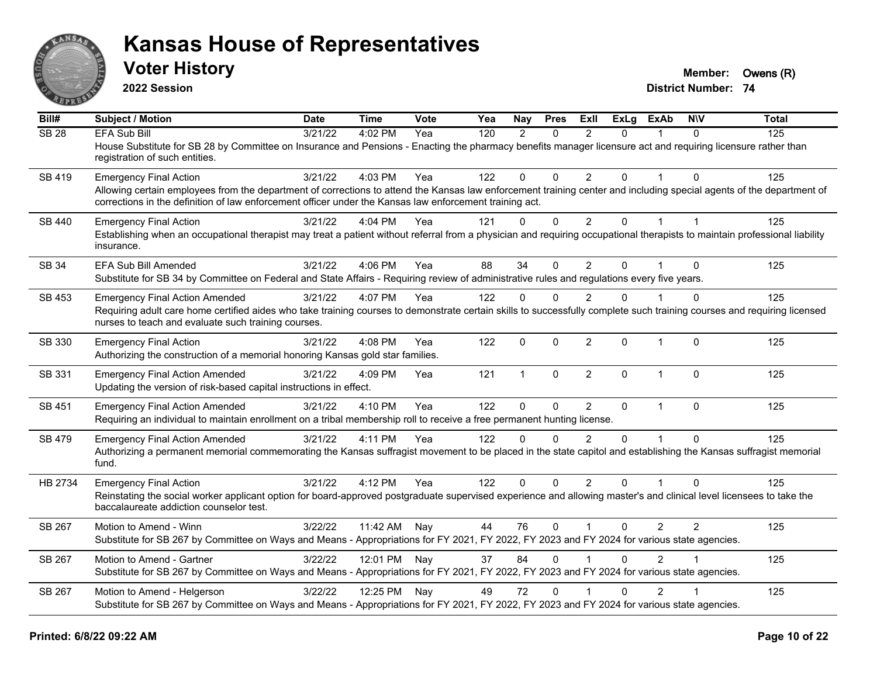

**2022 Session**

**Voter History Member: Owens** (R)

| Bill#         | Subject / Motion                                                                                                                                                                                                                                                                | <b>Date</b> | <b>Time</b>  | Vote | Yea | Nay          | <b>Pres</b>  | ExII           | <b>ExLg</b>  | <b>ExAb</b>    | <b>NIV</b> | <b>Total</b> |
|---------------|---------------------------------------------------------------------------------------------------------------------------------------------------------------------------------------------------------------------------------------------------------------------------------|-------------|--------------|------|-----|--------------|--------------|----------------|--------------|----------------|------------|--------------|
| <b>SB 28</b>  | <b>EFA Sub Bill</b>                                                                                                                                                                                                                                                             | 3/21/22     | 4:02 PM      | Yea  | 120 | 2            | $\mathbf{0}$ | $\overline{2}$ | 0            |                | $\Omega$   | 125          |
|               | House Substitute for SB 28 by Committee on Insurance and Pensions - Enacting the pharmacy benefits manager licensure act and requiring licensure rather than<br>registration of such entities.                                                                                  |             |              |      |     |              |              |                |              |                |            |              |
| <b>SB 419</b> | <b>Emergency Final Action</b>                                                                                                                                                                                                                                                   | 3/21/22     | 4:03 PM      | Yea  | 122 | $\mathbf 0$  | $\Omega$     | 2              | 0            |                | $\Omega$   | 125          |
|               | Allowing certain employees from the department of corrections to attend the Kansas law enforcement training center and including special agents of the department of<br>corrections in the definition of law enforcement officer under the Kansas law enforcement training act. |             |              |      |     |              |              |                |              |                |            |              |
| SB 440        | <b>Emergency Final Action</b>                                                                                                                                                                                                                                                   | 3/21/22     | 4:04 PM      | Yea  | 121 | $\mathbf 0$  | $\mathbf 0$  | $\overline{2}$ | 0            | $\overline{1}$ |            | 125          |
|               | Establishing when an occupational therapist may treat a patient without referral from a physician and requiring occupational therapists to maintain professional liability<br>insurance.                                                                                        |             |              |      |     |              |              |                |              |                |            |              |
| SB 34         | EFA Sub Bill Amended                                                                                                                                                                                                                                                            | 3/21/22     | 4:06 PM      | Yea  | 88  | 34           | $\mathbf{0}$ | 2              | $\Omega$     |                | $\Omega$   | 125          |
|               | Substitute for SB 34 by Committee on Federal and State Affairs - Requiring review of administrative rules and regulations every five years.                                                                                                                                     |             |              |      |     |              |              |                |              |                |            |              |
| SB 453        | <b>Emergency Final Action Amended</b>                                                                                                                                                                                                                                           | 3/21/22     | 4:07 PM      | Yea  | 122 | $\mathbf{0}$ | $\Omega$     | 2              | 0            |                | $\Omega$   | 125          |
|               | Requiring adult care home certified aides who take training courses to demonstrate certain skills to successfully complete such training courses and requiring licensed<br>nurses to teach and evaluate such training courses.                                                  |             |              |      |     |              |              |                |              |                |            |              |
| SB 330        | <b>Emergency Final Action</b><br>Authorizing the construction of a memorial honoring Kansas gold star families.                                                                                                                                                                 | 3/21/22     | 4:08 PM      | Yea  | 122 | 0            | $\mathbf 0$  | $\overline{2}$ | 0            | 1              | $\Omega$   | 125          |
| SB 331        | <b>Emergency Final Action Amended</b><br>Updating the version of risk-based capital instructions in effect.                                                                                                                                                                     | 3/21/22     | 4:09 PM      | Yea  | 121 | $\mathbf{1}$ | $\mathbf{0}$ | $\overline{2}$ | $\Omega$     | $\overline{1}$ | $\Omega$   | 125          |
| SB 451        | <b>Emergency Final Action Amended</b>                                                                                                                                                                                                                                           | 3/21/22     | 4:10 PM      | Yea  | 122 | $\mathbf{0}$ | $\mathbf{0}$ | 2              | $\mathbf{0}$ | $\mathbf{1}$   | $\Omega$   | 125          |
|               | Requiring an individual to maintain enrollment on a tribal membership roll to receive a free permanent hunting license.                                                                                                                                                         |             |              |      |     |              |              |                |              |                |            |              |
| <b>SB 479</b> | <b>Emergency Final Action Amended</b>                                                                                                                                                                                                                                           | 3/21/22     | 4:11 PM      | Yea  | 122 | $\Omega$     | $\Omega$     | $\mathfrak{p}$ | $\Omega$     | $\overline{1}$ | $\Omega$   | 125          |
|               | Authorizing a permanent memorial commemorating the Kansas suffragist movement to be placed in the state capitol and establishing the Kansas suffragist memorial<br>fund.                                                                                                        |             |              |      |     |              |              |                |              |                |            |              |
| HB 2734       | <b>Emergency Final Action</b>                                                                                                                                                                                                                                                   | 3/21/22     | 4:12 PM      | Yea  | 122 | $\mathbf{0}$ | $\Omega$     | 2              | $\Omega$     |                | $\Omega$   | 125          |
|               | Reinstating the social worker applicant option for board-approved postgraduate supervised experience and allowing master's and clinical level licensees to take the<br>baccalaureate addiction counselor test.                                                                  |             |              |      |     |              |              |                |              |                |            |              |
| SB 267        | Motion to Amend - Winn                                                                                                                                                                                                                                                          | 3/22/22     | 11:42 AM     | Nay  | 44  | 76           | $\mathbf{0}$ | $\overline{1}$ | 0            | $\overline{2}$ | 2          | 125          |
|               | Substitute for SB 267 by Committee on Ways and Means - Appropriations for FY 2021, FY 2022, FY 2023 and FY 2024 for various state agencies.                                                                                                                                     |             |              |      |     |              |              |                |              |                |            |              |
| SB 267        | Motion to Amend - Gartner                                                                                                                                                                                                                                                       | 3/22/22     | 12:01 PM Nay |      | 37  | 84           | $\mathbf{0}$ |                | 0            | $\overline{2}$ |            | 125          |
|               | Substitute for SB 267 by Committee on Ways and Means - Appropriations for FY 2021, FY 2022, FY 2023 and FY 2024 for various state agencies.                                                                                                                                     |             |              |      |     |              |              |                |              |                |            |              |
| SB 267        | Motion to Amend - Helgerson                                                                                                                                                                                                                                                     | 3/22/22     | 12:25 PM Nay |      | 49  | 72           | $\mathbf{0}$ |                | $\Omega$     | $\overline{2}$ |            | 125          |
|               | Substitute for SB 267 by Committee on Ways and Means - Appropriations for FY 2021, FY 2022, FY 2023 and FY 2024 for various state agencies.                                                                                                                                     |             |              |      |     |              |              |                |              |                |            |              |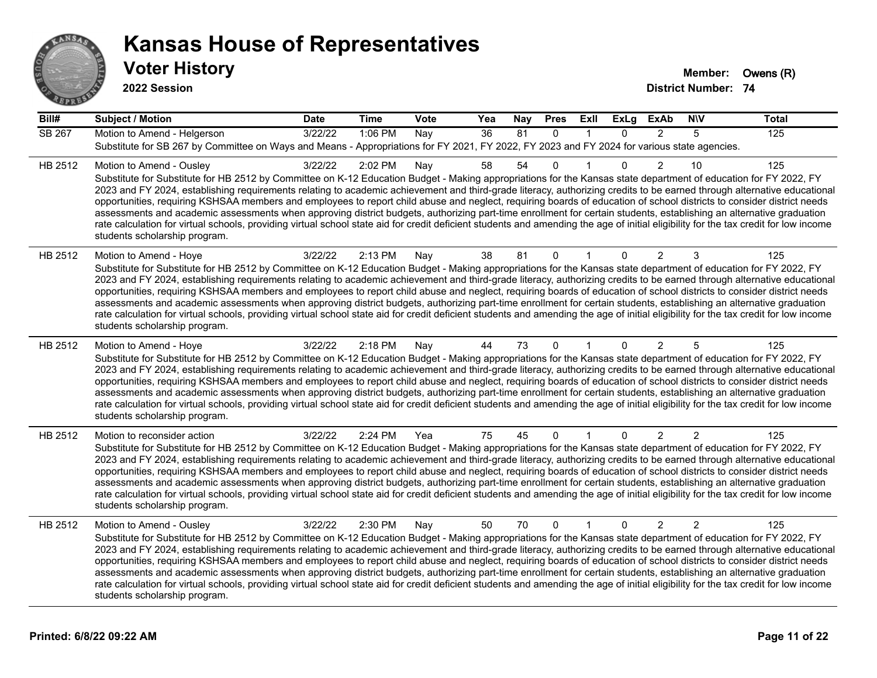

**2022 Session**

| Bill#   | <b>Subject / Motion</b>                                                                                                                                                                                                                                                                                                                                                                                                                                                                                                                                                                                                                                                                                                                                                                                                                                                                                                                             | <b>Date</b> | <b>Time</b> | Vote | Yea             | Nay | <b>Pres</b>  | Exll           | <b>ExLg</b>  | <b>ExAb</b>    | <b>NIV</b>     | <b>Total</b> |
|---------|-----------------------------------------------------------------------------------------------------------------------------------------------------------------------------------------------------------------------------------------------------------------------------------------------------------------------------------------------------------------------------------------------------------------------------------------------------------------------------------------------------------------------------------------------------------------------------------------------------------------------------------------------------------------------------------------------------------------------------------------------------------------------------------------------------------------------------------------------------------------------------------------------------------------------------------------------------|-------------|-------------|------|-----------------|-----|--------------|----------------|--------------|----------------|----------------|--------------|
| SB 267  | Motion to Amend - Helgerson<br>Substitute for SB 267 by Committee on Ways and Means - Appropriations for FY 2021, FY 2022, FY 2023 and FY 2024 for various state agencies.                                                                                                                                                                                                                                                                                                                                                                                                                                                                                                                                                                                                                                                                                                                                                                          | 3/22/22     | 1:06 PM     | Nay  | $\overline{36}$ | 81  | $\mathbf{0}$ | $\overline{1}$ | $\Omega$     | $\overline{2}$ | 5              | 125          |
| HB 2512 | Motion to Amend - Ousley<br>Substitute for Substitute for HB 2512 by Committee on K-12 Education Budget - Making appropriations for the Kansas state department of education for FY 2022, FY<br>2023 and FY 2024, establishing requirements relating to academic achievement and third-grade literacy, authorizing credits to be earned through alternative educational<br>opportunities, requiring KSHSAA members and employees to report child abuse and neglect, requiring boards of education of school districts to consider district needs<br>assessments and academic assessments when approving district budgets, authorizing part-time enrollment for certain students, establishing an alternative graduation<br>rate calculation for virtual schools, providing virtual school state aid for credit deficient students and amending the age of initial eligibility for the tax credit for low income<br>students scholarship program.    | 3/22/22     | 2:02 PM     | Nay  | 58              | 54  | $\mathbf 0$  | -1             | $\Omega$     | $\overline{2}$ | 10             | 125          |
| HB 2512 | Motion to Amend - Hoye<br>Substitute for Substitute for HB 2512 by Committee on K-12 Education Budget - Making appropriations for the Kansas state department of education for FY 2022, FY<br>2023 and FY 2024, establishing requirements relating to academic achievement and third-grade literacy, authorizing credits to be earned through alternative educational<br>opportunities, requiring KSHSAA members and employees to report child abuse and neglect, requiring boards of education of school districts to consider district needs<br>assessments and academic assessments when approving district budgets, authorizing part-time enrollment for certain students, establishing an alternative graduation<br>rate calculation for virtual schools, providing virtual school state aid for credit deficient students and amending the age of initial eligibility for the tax credit for low income<br>students scholarship program.      | 3/22/22     | 2:13 PM     | Nay  | 38              | 81  | $\Omega$     |                | 0            | $\overline{2}$ | 3              | 125          |
| HB 2512 | Motion to Amend - Hoye<br>Substitute for Substitute for HB 2512 by Committee on K-12 Education Budget - Making appropriations for the Kansas state department of education for FY 2022, FY<br>2023 and FY 2024, establishing requirements relating to academic achievement and third-grade literacy, authorizing credits to be earned through alternative educational<br>opportunities, requiring KSHSAA members and employees to report child abuse and neglect, requiring boards of education of school districts to consider district needs<br>assessments and academic assessments when approving district budgets, authorizing part-time enrollment for certain students, establishing an alternative graduation<br>rate calculation for virtual schools, providing virtual school state aid for credit deficient students and amending the age of initial eligibility for the tax credit for low income<br>students scholarship program.      | 3/22/22     | 2:18 PM     | Nay  | 44              | 73  | $\mathbf 0$  |                | $\mathbf{0}$ | $\overline{2}$ | 5              | 125          |
| HB 2512 | Motion to reconsider action<br>Substitute for Substitute for HB 2512 by Committee on K-12 Education Budget - Making appropriations for the Kansas state department of education for FY 2022, FY<br>2023 and FY 2024, establishing requirements relating to academic achievement and third-grade literacy, authorizing credits to be earned through alternative educational<br>opportunities, requiring KSHSAA members and employees to report child abuse and neglect, requiring boards of education of school districts to consider district needs<br>assessments and academic assessments when approving district budgets, authorizing part-time enrollment for certain students, establishing an alternative graduation<br>rate calculation for virtual schools, providing virtual school state aid for credit deficient students and amending the age of initial eligibility for the tax credit for low income<br>students scholarship program. | 3/22/22     | 2:24 PM     | Yea  | 75              | 45  | $\mathbf{0}$ |                | $\Omega$     | $\overline{2}$ | $\mathfrak{p}$ | 125          |
| HB 2512 | Motion to Amend - Ousley<br>Substitute for Substitute for HB 2512 by Committee on K-12 Education Budget - Making appropriations for the Kansas state department of education for FY 2022, FY<br>2023 and FY 2024, establishing requirements relating to academic achievement and third-grade literacy, authorizing credits to be earned through alternative educational<br>opportunities, requiring KSHSAA members and employees to report child abuse and neglect, requiring boards of education of school districts to consider district needs<br>assessments and academic assessments when approving district budgets, authorizing part-time enrollment for certain students, establishing an alternative graduation<br>rate calculation for virtual schools, providing virtual school state aid for credit deficient students and amending the age of initial eligibility for the tax credit for low income<br>students scholarship program.    | 3/22/22     | 2:30 PM     | Nay  | 50              | 70  | $\mathbf{0}$ | $\overline{1}$ | $\Omega$     | $\overline{2}$ | $\overline{2}$ | 125          |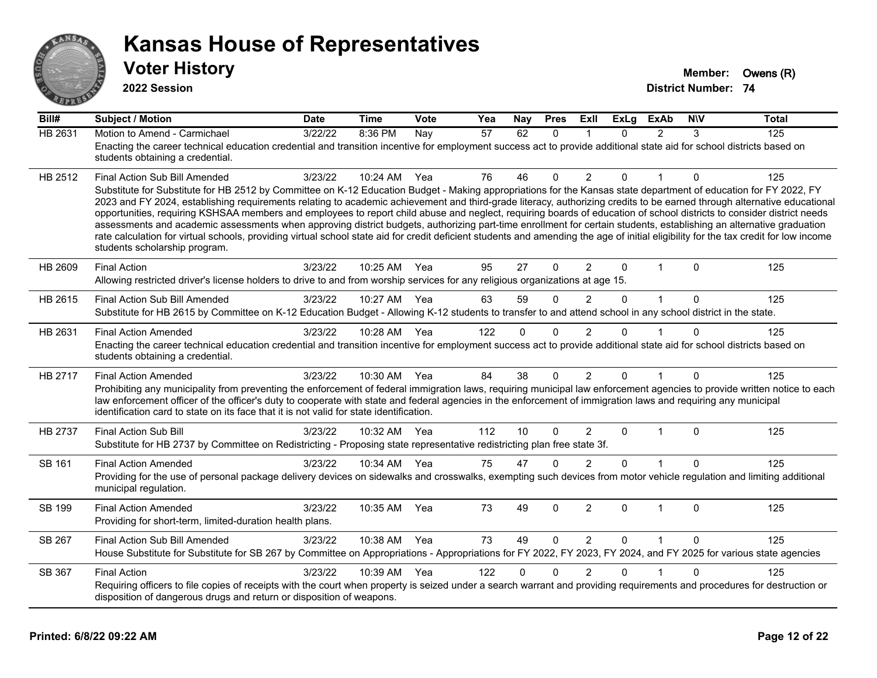

**2022 Session**

| Bill#          | <b>Subject / Motion</b>                                                                                                                                                                                                                                                                                                                          | <b>Date</b> | <b>Time</b>  | Vote | Yea | Nay      | <b>Pres</b>  | ExII           | <b>ExLg</b>  | <b>ExAb</b>  | <b>NIV</b>   | <b>Total</b> |
|----------------|--------------------------------------------------------------------------------------------------------------------------------------------------------------------------------------------------------------------------------------------------------------------------------------------------------------------------------------------------|-------------|--------------|------|-----|----------|--------------|----------------|--------------|--------------|--------------|--------------|
| <b>HB 2631</b> | Motion to Amend - Carmichael                                                                                                                                                                                                                                                                                                                     | 3/22/22     | 8:36 PM      | Nay  | 57  | 62       | $\Omega$     |                | $\Omega$     | 2            | 3            | 125          |
|                | Enacting the career technical education credential and transition incentive for employment success act to provide additional state aid for school districts based on<br>students obtaining a credential.                                                                                                                                         |             |              |      |     |          |              |                |              |              |              |              |
| HB 2512        | Final Action Sub Bill Amended                                                                                                                                                                                                                                                                                                                    | 3/23/22     | $10:24$ AM   | Yea  | 76  | 46       | $\Omega$     | 2              | $\Omega$     |              | 0            | 125          |
|                | Substitute for Substitute for HB 2512 by Committee on K-12 Education Budget - Making appropriations for the Kansas state department of education for FY 2022, FY                                                                                                                                                                                 |             |              |      |     |          |              |                |              |              |              |              |
|                | 2023 and FY 2024, establishing requirements relating to academic achievement and third-grade literacy, authorizing credits to be earned through alternative educational<br>opportunities, requiring KSHSAA members and employees to report child abuse and neglect, requiring boards of education of school districts to consider district needs |             |              |      |     |          |              |                |              |              |              |              |
|                | assessments and academic assessments when approving district budgets, authorizing part-time enrollment for certain students, establishing an alternative graduation                                                                                                                                                                              |             |              |      |     |          |              |                |              |              |              |              |
|                | rate calculation for virtual schools, providing virtual school state aid for credit deficient students and amending the age of initial eligibility for the tax credit for low income<br>students scholarship program.                                                                                                                            |             |              |      |     |          |              |                |              |              |              |              |
| HB 2609        | <b>Final Action</b>                                                                                                                                                                                                                                                                                                                              | 3/23/22     | 10:25 AM Yea |      | 95  | 27       | $\Omega$     | $\overline{2}$ | $\mathbf{0}$ | $\mathbf{1}$ | $\Omega$     | 125          |
|                | Allowing restricted driver's license holders to drive to and from worship services for any religious organizations at age 15.                                                                                                                                                                                                                    |             |              |      |     |          |              |                |              |              |              |              |
| HB 2615        | Final Action Sub Bill Amended                                                                                                                                                                                                                                                                                                                    | 3/23/22     | 10:27 AM     | Yea  | 63  | 59       | $\Omega$     | $\overline{2}$ | 0            | $\mathbf 1$  | $\mathbf{0}$ | 125          |
|                | Substitute for HB 2615 by Committee on K-12 Education Budget - Allowing K-12 students to transfer to and attend school in any school district in the state.                                                                                                                                                                                      |             |              |      |     |          |              |                |              |              |              |              |
| HB 2631        | <b>Final Action Amended</b>                                                                                                                                                                                                                                                                                                                      | 3/23/22     | 10:28 AM Yea |      | 122 | $\Omega$ | $\Omega$     | 2              | 0            |              | $\Omega$     | 125          |
|                | Enacting the career technical education credential and transition incentive for employment success act to provide additional state aid for school districts based on<br>students obtaining a credential.                                                                                                                                         |             |              |      |     |          |              |                |              |              |              |              |
| HB 2717        | <b>Final Action Amended</b>                                                                                                                                                                                                                                                                                                                      | 3/23/22     | 10:30 AM     | Yea  | 84  | 38       | $\mathbf{0}$ | $\overline{2}$ | $\Omega$     | 1            | $\mathbf{0}$ | 125          |
|                | Prohibiting any municipality from preventing the enforcement of federal immigration laws, requiring municipal law enforcement agencies to provide written notice to each<br>law enforcement officer of the officer's duty to cooperate with state and federal agencies in the enforcement of immigration laws and requiring any municipal        |             |              |      |     |          |              |                |              |              |              |              |
|                | identification card to state on its face that it is not valid for state identification.                                                                                                                                                                                                                                                          |             |              |      |     |          |              |                |              |              |              |              |
| <b>HB 2737</b> | <b>Final Action Sub Bill</b>                                                                                                                                                                                                                                                                                                                     | 3/23/22     | 10:32 AM     | Yea  | 112 | 10       | $\Omega$     | 2              | $\Omega$     | $\mathbf{1}$ | $\mathbf{0}$ | 125          |
|                | Substitute for HB 2737 by Committee on Redistricting - Proposing state representative redistricting plan free state 3f.                                                                                                                                                                                                                          |             |              |      |     |          |              |                |              |              |              |              |
| SB 161         | <b>Final Action Amended</b>                                                                                                                                                                                                                                                                                                                      | 3/23/22     | 10:34 AM     | Yea  | 75  | 47       | $\Omega$     | $\overline{2}$ | 0            |              | $\Omega$     | 125          |
|                | Providing for the use of personal package delivery devices on sidewalks and crosswalks, exempting such devices from motor vehicle regulation and limiting additional<br>municipal regulation.                                                                                                                                                    |             |              |      |     |          |              |                |              |              |              |              |
| SB 199         | <b>Final Action Amended</b>                                                                                                                                                                                                                                                                                                                      | 3/23/22     | 10:35 AM     | Yea  | 73  | 49       | $\Omega$     | $\overline{2}$ | $\Omega$     | $\mathbf 1$  | $\Omega$     | 125          |
|                | Providing for short-term, limited-duration health plans.                                                                                                                                                                                                                                                                                         |             |              |      |     |          |              |                |              |              |              |              |
| SB 267         | Final Action Sub Bill Amended                                                                                                                                                                                                                                                                                                                    | 3/23/22     | 10:38 AM     | Yea  | 73  | 49       | $\Omega$     | 2              | $\Omega$     | 1            | $\Omega$     | 125          |
|                | House Substitute for Substitute for SB 267 by Committee on Appropriations - Appropriations for FY 2022, FY 2023, FY 2024, and FY 2025 for various state agencies                                                                                                                                                                                 |             |              |      |     |          |              |                |              |              |              |              |
| SB 367         | <b>Final Action</b>                                                                                                                                                                                                                                                                                                                              | 3/23/22     | 10:39 AM     | Yea  | 122 | 0        | $\Omega$     | $\overline{2}$ | 0            |              | $\Omega$     | 125          |
|                | Requiring officers to file copies of receipts with the court when property is seized under a search warrant and providing requirements and procedures for destruction or<br>disposition of dangerous drugs and return or disposition of weapons.                                                                                                 |             |              |      |     |          |              |                |              |              |              |              |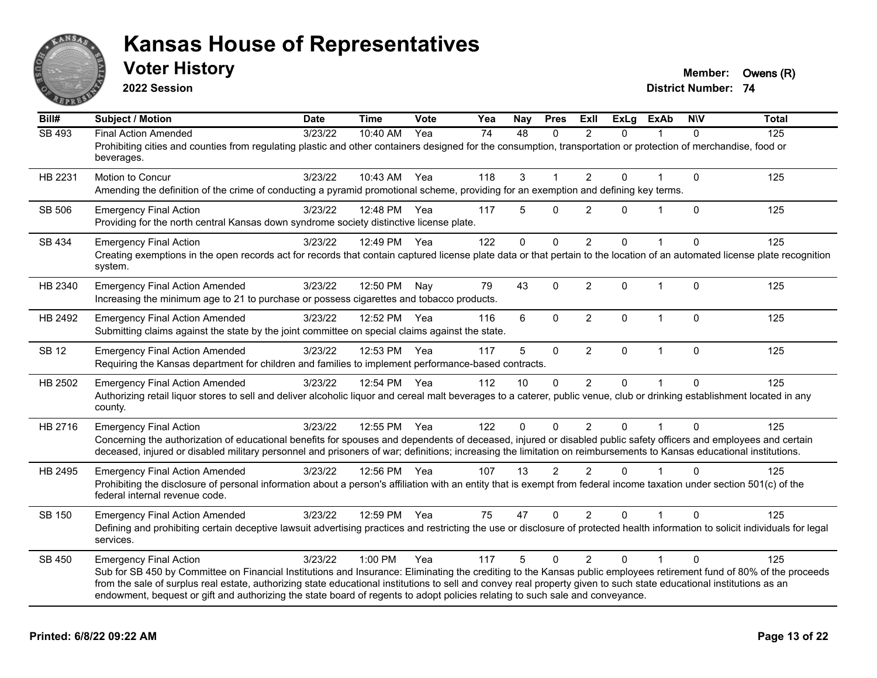

**2022 Session**

**District Number: 74 Voter History Member: Owens** (R)

| Bill#        | <b>Subject / Motion</b>                                                                                                                                                                                                                                                                                                                                                                                                                                                                                        | <b>Date</b> | <b>Time</b>  | Vote | Yea | Nay          | <b>Pres</b>  | <b>Exll</b>    | <b>ExLg</b>  | <b>ExAb</b>  | <b>NIV</b>  | <b>Total</b> |
|--------------|----------------------------------------------------------------------------------------------------------------------------------------------------------------------------------------------------------------------------------------------------------------------------------------------------------------------------------------------------------------------------------------------------------------------------------------------------------------------------------------------------------------|-------------|--------------|------|-----|--------------|--------------|----------------|--------------|--------------|-------------|--------------|
| SB 493       | <b>Final Action Amended</b><br>Prohibiting cities and counties from regulating plastic and other containers designed for the consumption, transportation or protection of merchandise, food or<br>beverages.                                                                                                                                                                                                                                                                                                   | 3/23/22     | 10:40 AM     | Yea  | 74  | 48           | $\Omega$     | $\mathcal{P}$  | $\Omega$     | 1            | $\Omega$    | 125          |
| HB 2231      | <b>Motion to Concur</b><br>Amending the definition of the crime of conducting a pyramid promotional scheme, providing for an exemption and defining key terms.                                                                                                                                                                                                                                                                                                                                                 | 3/23/22     | 10:43 AM     | Yea  | 118 | $\mathbf{3}$ | $\mathbf 1$  | $\overline{2}$ | 0            |              | 0           | 125          |
| SB 506       | <b>Emergency Final Action</b><br>Providing for the north central Kansas down syndrome society distinctive license plate.                                                                                                                                                                                                                                                                                                                                                                                       | 3/23/22     | 12:48 PM     | Yea  | 117 | 5            | $\Omega$     | $\overline{2}$ | 0            |              | 0           | 125          |
| SB 434       | <b>Emergency Final Action</b><br>Creating exemptions in the open records act for records that contain captured license plate data or that pertain to the location of an automated license plate recognition<br>system.                                                                                                                                                                                                                                                                                         | 3/23/22     | 12:49 PM     | Yea  | 122 | $\Omega$     | $\mathbf 0$  | $\overline{2}$ | $\mathbf 0$  |              | 0           | 125          |
| HB 2340      | <b>Emergency Final Action Amended</b><br>Increasing the minimum age to 21 to purchase or possess cigarettes and tobacco products.                                                                                                                                                                                                                                                                                                                                                                              | 3/23/22     | 12:50 PM     | Nay  | 79  | 43           | $\mathbf{0}$ | $\overline{2}$ | $\Omega$     | $\mathbf{1}$ | $\Omega$    | 125          |
| HB 2492      | <b>Emergency Final Action Amended</b><br>Submitting claims against the state by the joint committee on special claims against the state.                                                                                                                                                                                                                                                                                                                                                                       | 3/23/22     | 12:52 PM     | Yea  | 116 | 6            | $\mathbf 0$  | $\overline{2}$ | $\Omega$     | $\mathbf 1$  | $\Omega$    | 125          |
| <b>SB 12</b> | <b>Emergency Final Action Amended</b><br>Requiring the Kansas department for children and families to implement performance-based contracts.                                                                                                                                                                                                                                                                                                                                                                   | 3/23/22     | 12:53 PM     | Yea  | 117 | 5            | $\mathbf 0$  | $\overline{2}$ | $\mathbf 0$  | $\mathbf{1}$ | $\mathbf 0$ | 125          |
| HB 2502      | <b>Emergency Final Action Amended</b><br>Authorizing retail liquor stores to sell and deliver alcoholic liquor and cereal malt beverages to a caterer, public venue, club or drinking establishment located in any<br>county.                                                                                                                                                                                                                                                                                  | 3/23/22     | 12:54 PM     | Yea  | 112 | 10           | $\mathbf{0}$ | $\overline{2}$ | $\mathbf{0}$ | 1            | $\Omega$    | 125          |
| HB 2716      | <b>Emergency Final Action</b><br>Concerning the authorization of educational benefits for spouses and dependents of deceased, injured or disabled public safety officers and employees and certain<br>deceased, injured or disabled military personnel and prisoners of war; definitions; increasing the limitation on reimbursements to Kansas educational institutions.                                                                                                                                      | 3/23/22     | 12:55 PM     | Yea  | 122 | $\Omega$     | $\Omega$     | $\overline{2}$ | $\mathbf 0$  |              | $\Omega$    | 125          |
| HB 2495      | <b>Emergency Final Action Amended</b><br>Prohibiting the disclosure of personal information about a person's affiliation with an entity that is exempt from federal income taxation under section 501(c) of the<br>federal internal revenue code.                                                                                                                                                                                                                                                              | 3/23/22     | 12:56 PM Yea |      | 107 | 13           | 2            | $\overline{2}$ | $\Omega$     |              | $\Omega$    | 125          |
| SB 150       | <b>Emergency Final Action Amended</b><br>Defining and prohibiting certain deceptive lawsuit advertising practices and restricting the use or disclosure of protected health information to solicit individuals for legal<br>services.                                                                                                                                                                                                                                                                          | 3/23/22     | 12:59 PM     | Yea  | 75  | 47           | $\mathbf{0}$ | $\mathfrak{p}$ | $\Omega$     |              | $\Omega$    | 125          |
| SB 450       | <b>Emergency Final Action</b><br>Sub for SB 450 by Committee on Financial Institutions and Insurance: Eliminating the crediting to the Kansas public employees retirement fund of 80% of the proceeds<br>from the sale of surplus real estate, authorizing state educational institutions to sell and convey real property given to such state educational institutions as an<br>endowment, bequest or gift and authorizing the state board of regents to adopt policies relating to such sale and conveyance. | 3/23/22     | 1:00 PM      | Yea  | 117 | 5            | $\mathbf{0}$ | $\overline{2}$ | $\Omega$     |              | $\Omega$    | 125          |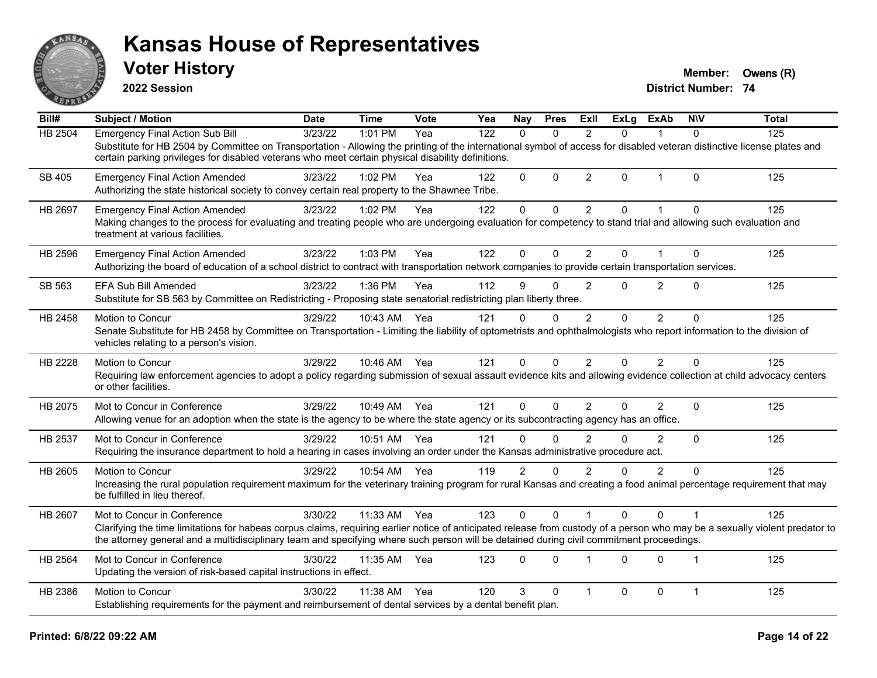

**2022 Session**

**Voter History Member: Owens** (R)

| $\overline{Bill#}$ | Subject / Motion                                                                                                                                                                                                                                                                                                                                        | <b>Date</b> | <b>Time</b> | Vote | Yea | <b>Nay</b>     | <b>Pres</b>  | ExII           | <b>ExLg</b> | <b>ExAb</b>    | <b>NIV</b>     | <b>Total</b> |
|--------------------|---------------------------------------------------------------------------------------------------------------------------------------------------------------------------------------------------------------------------------------------------------------------------------------------------------------------------------------------------------|-------------|-------------|------|-----|----------------|--------------|----------------|-------------|----------------|----------------|--------------|
| HB 2504            | <b>Emergency Final Action Sub Bill</b>                                                                                                                                                                                                                                                                                                                  | 3/23/22     | 1:01 PM     | Yea  | 122 | $\Omega$       | $\Omega$     | 2              | 0           |                | $\Omega$       | 125          |
|                    | Substitute for HB 2504 by Committee on Transportation - Allowing the printing of the international symbol of access for disabled veteran distinctive license plates and<br>certain parking privileges for disabled veterans who meet certain physical disability definitions.                                                                           |             |             |      |     |                |              |                |             |                |                |              |
| SB 405             | <b>Emergency Final Action Amended</b><br>Authorizing the state historical society to convey certain real property to the Shawnee Tribe.                                                                                                                                                                                                                 | 3/23/22     | 1:02 PM     | Yea  | 122 | $\Omega$       | $\Omega$     | $\overline{2}$ | 0           | $\mathbf 1$    | $\Omega$       | 125          |
| <b>HB 2697</b>     | <b>Emergency Final Action Amended</b><br>Making changes to the process for evaluating and treating people who are undergoing evaluation for competency to stand trial and allowing such evaluation and<br>treatment at various facilities.                                                                                                              | 3/23/22     | 1:02 PM     | Yea  | 122 | 0              | 0            | $\overline{2}$ | 0           |                | $\Omega$       | 125          |
| HB 2596            | <b>Emergency Final Action Amended</b><br>Authorizing the board of education of a school district to contract with transportation network companies to provide certain transportation services.                                                                                                                                                          | 3/23/22     | 1:03 PM     | Yea  | 122 | 0              | $\mathbf 0$  | $\overline{2}$ | 0           | $\mathbf 1$    | $\mathbf 0$    | 125          |
| SB 563             | <b>EFA Sub Bill Amended</b><br>Substitute for SB 563 by Committee on Redistricting - Proposing state senatorial redistricting plan liberty three.                                                                                                                                                                                                       | 3/23/22     | 1:36 PM     | Yea  | 112 | 9              | $\Omega$     | $\overline{2}$ | 0           | $\overline{2}$ | $\mathbf{0}$   | 125          |
| HB 2458            | Motion to Concur<br>Senate Substitute for HB 2458 by Committee on Transportation - Limiting the liability of optometrists and ophthalmologists who report information to the division of<br>vehicles relating to a person's vision.                                                                                                                     | 3/29/22     | 10:43 AM    | Yea  | 121 | 0              | $\mathbf{0}$ | 2              | $\Omega$    | $\overline{2}$ | $\mathbf{0}$   | 125          |
| HB 2228            | Motion to Concur<br>Requiring law enforcement agencies to adopt a policy regarding submission of sexual assault evidence kits and allowing evidence collection at child advocacy centers<br>or other facilities.                                                                                                                                        | 3/29/22     | 10:46 AM    | Yea  | 121 | 0              | $\Omega$     | $\overline{2}$ | 0           | 2              | $\Omega$       | 125          |
| HB 2075            | Mot to Concur in Conference<br>Allowing venue for an adoption when the state is the agency to be where the state agency or its subcontracting agency has an office.                                                                                                                                                                                     | 3/29/22     | 10:49 AM    | Yea  | 121 | 0              | $\Omega$     | 2              | 0           | $\overline{2}$ | $\mathbf{0}$   | 125          |
| HB 2537            | Mot to Concur in Conference<br>Requiring the insurance department to hold a hearing in cases involving an order under the Kansas administrative procedure act.                                                                                                                                                                                          | 3/29/22     | 10:51 AM    | Yea  | 121 | 0              | $\mathbf{0}$ | 2              | 0           | 2              | $\Omega$       | 125          |
| HB 2605            | Motion to Concur<br>Increasing the rural population requirement maximum for the veterinary training program for rural Kansas and creating a food animal percentage requirement that may<br>be fulfilled in lieu thereof.                                                                                                                                | 3/29/22     | 10:54 AM    | Yea  | 119 | $\overline{2}$ | $\Omega$     | $\mathfrak{p}$ | 0           | $\overline{2}$ | $\Omega$       | 125          |
| HB 2607            | Mot to Concur in Conference<br>Clarifying the time limitations for habeas corpus claims, requiring earlier notice of anticipated release from custody of a person who may be a sexually violent predator to<br>the attorney general and a multidisciplinary team and specifying where such person will be detained during civil commitment proceedings. | 3/30/22     | 11:33 AM    | Yea  | 123 | 0              | $\Omega$     |                | 0           | $\Omega$       |                | 125          |
| HB 2564            | Mot to Concur in Conference<br>Updating the version of risk-based capital instructions in effect.                                                                                                                                                                                                                                                       | 3/30/22     | 11:35 AM    | Yea  | 123 | 0              | $\Omega$     | $\overline{1}$ | 0           | $\Omega$       | $\overline{1}$ | 125          |
| HB 2386            | Motion to Concur<br>Establishing requirements for the payment and reimbursement of dental services by a dental benefit plan.                                                                                                                                                                                                                            | 3/30/22     | 11:38 AM    | Yea  | 120 | 3              | $\mathbf{0}$ | 1              | 0           | $\mathbf 0$    | $\mathbf{1}$   | 125          |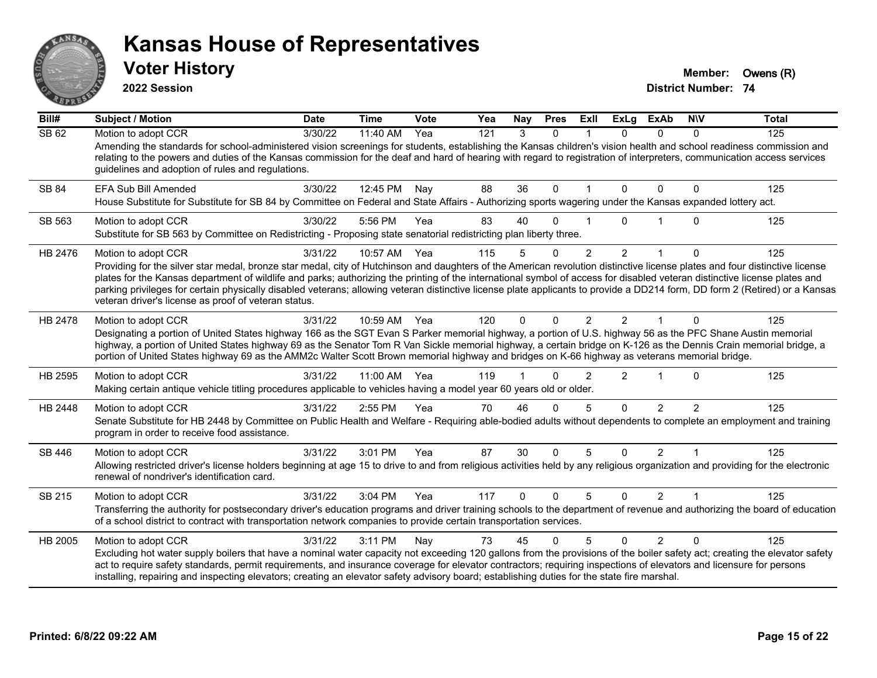

**2022 Session**

**Voter History Member: Owens** (R)

| Bill#   | <b>Subject / Motion</b>                                                                                                                                                                                                                                                                                                                                                                                                                                                                                                                                                                          | <b>Date</b> | <b>Time</b> | Vote | Yea | Nay      | <b>Pres</b>  | ExII          | <b>ExLg</b>    | <b>ExAb</b>    | <b>NIV</b>    | <b>Total</b> |
|---------|--------------------------------------------------------------------------------------------------------------------------------------------------------------------------------------------------------------------------------------------------------------------------------------------------------------------------------------------------------------------------------------------------------------------------------------------------------------------------------------------------------------------------------------------------------------------------------------------------|-------------|-------------|------|-----|----------|--------------|---------------|----------------|----------------|---------------|--------------|
| SB 62   | Motion to adopt CCR                                                                                                                                                                                                                                                                                                                                                                                                                                                                                                                                                                              | 3/30/22     | 11:40 AM    | Yea  | 121 | 3        | $\mathbf{0}$ |               | $\Omega$       | 0              | $\Omega$      | 125          |
|         | Amending the standards for school-administered vision screenings for students, establishing the Kansas children's vision health and school readiness commission and<br>relating to the powers and duties of the Kansas commission for the deaf and hard of hearing with regard to registration of interpreters, communication access services<br>guidelines and adoption of rules and regulations.                                                                                                                                                                                               |             |             |      |     |          |              |               |                |                |               |              |
| SB 84   | EFA Sub Bill Amended                                                                                                                                                                                                                                                                                                                                                                                                                                                                                                                                                                             | 3/30/22     | 12:45 PM    | Nay  | 88  | 36       | $\Omega$     |               | $\Omega$       | $\Omega$       | 0             | 125          |
|         | House Substitute for Substitute for SB 84 by Committee on Federal and State Affairs - Authorizing sports wagering under the Kansas expanded lottery act.                                                                                                                                                                                                                                                                                                                                                                                                                                         |             |             |      |     |          |              |               |                |                |               |              |
| SB 563  | Motion to adopt CCR<br>Substitute for SB 563 by Committee on Redistricting - Proposing state senatorial redistricting plan liberty three.                                                                                                                                                                                                                                                                                                                                                                                                                                                        | 3/30/22     | 5:56 PM     | Yea  | 83  | 40       | O            |               | U              |                | $\Omega$      | 125          |
| HB 2476 | Motion to adopt CCR                                                                                                                                                                                                                                                                                                                                                                                                                                                                                                                                                                              | 3/31/22     | 10:57 AM    | Yea  | 115 | 5        | $\mathbf 0$  | 2             | $\overline{2}$ |                | 0             | 125          |
|         | Providing for the silver star medal, bronze star medal, city of Hutchinson and daughters of the American revolution distinctive license plates and four distinctive license<br>plates for the Kansas department of wildlife and parks; authorizing the printing of the international symbol of access for disabled veteran distinctive license plates and<br>parking privileges for certain physically disabled veterans; allowing veteran distinctive license plate applicants to provide a DD214 form, DD form 2 (Retired) or a Kansas<br>veteran driver's license as proof of veteran status. |             |             |      |     |          |              |               |                |                |               |              |
| HB 2478 | Motion to adopt CCR                                                                                                                                                                                                                                                                                                                                                                                                                                                                                                                                                                              | 3/31/22     | 10:59 AM    | Yea  | 120 | $\Omega$ | $\Omega$     | 2             | $\mathcal{P}$  | $\overline{1}$ | $\Omega$      | 125          |
|         | Designating a portion of United States highway 166 as the SGT Evan S Parker memorial highway, a portion of U.S. highway 56 as the PFC Shane Austin memorial<br>highway, a portion of United States highway 69 as the Senator Tom R Van Sickle memorial highway, a certain bridge on K-126 as the Dennis Crain memorial bridge, a<br>portion of United States highway 69 as the AMM2c Walter Scott Brown memorial highway and bridges on K-66 highway as veterans memorial bridge.                                                                                                                |             |             |      |     |          |              |               |                |                |               |              |
| HB 2595 | Motion to adopt CCR                                                                                                                                                                                                                                                                                                                                                                                                                                                                                                                                                                              | 3/31/22     | 11:00 AM    | Yea  | 119 |          | 0            | $\mathcal{P}$ | $\overline{2}$ | $\overline{1}$ | $\Omega$      | 125          |
|         | Making certain antique vehicle titling procedures applicable to vehicles having a model year 60 years old or older.                                                                                                                                                                                                                                                                                                                                                                                                                                                                              |             |             |      |     |          |              |               |                |                |               |              |
| HB 2448 | Motion to adopt CCR                                                                                                                                                                                                                                                                                                                                                                                                                                                                                                                                                                              | 3/31/22     | 2:55 PM     | Yea  | 70  | 46       | $\Omega$     | 5             | $\Omega$       | $\overline{2}$ | $\mathcal{P}$ | 125          |
|         | Senate Substitute for HB 2448 by Committee on Public Health and Welfare - Requiring able-bodied adults without dependents to complete an employment and training<br>program in order to receive food assistance.                                                                                                                                                                                                                                                                                                                                                                                 |             |             |      |     |          |              |               |                |                |               |              |
| SB 446  | Motion to adopt CCR                                                                                                                                                                                                                                                                                                                                                                                                                                                                                                                                                                              | 3/31/22     | 3:01 PM     | Yea  | 87  | 30       | $\Omega$     | 5             | $\mathbf{0}$   | $\overline{2}$ |               | 125          |
|         | Allowing restricted driver's license holders beginning at age 15 to drive to and from religious activities held by any religious organization and providing for the electronic<br>renewal of nondriver's identification card.                                                                                                                                                                                                                                                                                                                                                                    |             |             |      |     |          |              |               |                |                |               |              |
| SB 215  | Motion to adopt CCR                                                                                                                                                                                                                                                                                                                                                                                                                                                                                                                                                                              | 3/31/22     | 3:04 PM     | Yea  | 117 | $\Omega$ | $\Omega$     | 5             | $\Omega$       | $\mathcal{P}$  | 1             | 125          |
|         | Transferring the authority for postsecondary driver's education programs and driver training schools to the department of revenue and authorizing the board of education<br>of a school district to contract with transportation network companies to provide certain transportation services.                                                                                                                                                                                                                                                                                                   |             |             |      |     |          |              |               |                |                |               |              |
| HB 2005 | Motion to adopt CCR                                                                                                                                                                                                                                                                                                                                                                                                                                                                                                                                                                              | 3/31/22     | 3:11 PM     | Nay  | 73  | 45       | $\Omega$     | 5             | $\Omega$       | $\overline{2}$ | $\Omega$      | 125          |
|         | Excluding hot water supply boilers that have a nominal water capacity not exceeding 120 gallons from the provisions of the boiler safety act; creating the elevator safety<br>act to require safety standards, permit requirements, and insurance coverage for elevator contractors; requiring inspections of elevators and licensure for persons<br>installing, repairing and inspecting elevators; creating an elevator safety advisory board; establishing duties for the state fire marshal.                                                                                                 |             |             |      |     |          |              |               |                |                |               |              |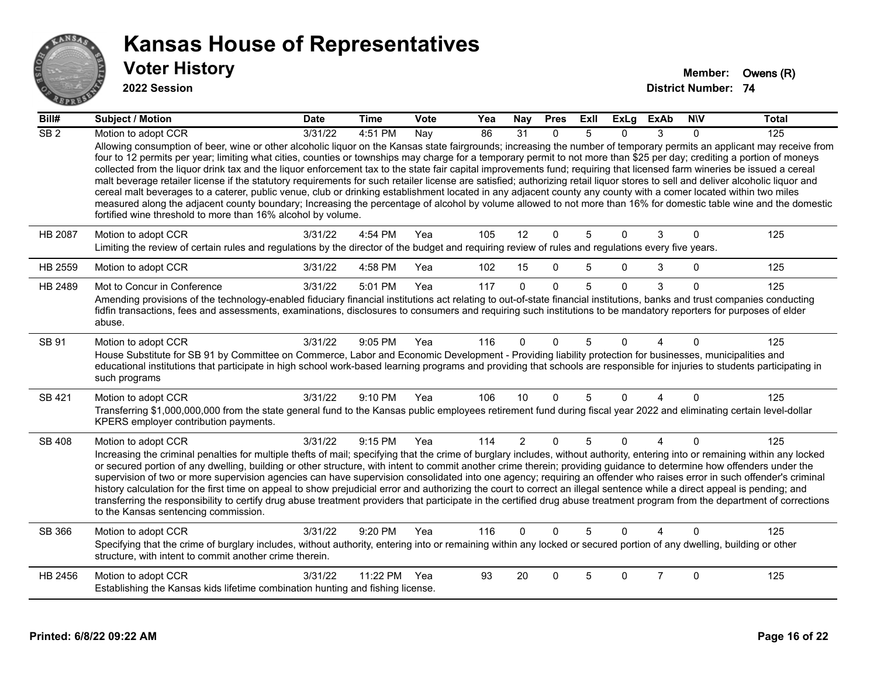

#### **2022 Session**

| Bill#           | <b>Subject / Motion</b>                                                                                                                                                                                                                                                                                                                                                                                                                                                                                                                                                                                                                                                                                                                                                                                                                                                                                                                                                                                                                                                                                                   | <b>Date</b> | <b>Time</b> | Vote | Yea | Nay            | <b>Pres</b> | ExII           | <b>ExLg</b> | <b>ExAb</b>    | <b>NIV</b>  | <b>Total</b> |
|-----------------|---------------------------------------------------------------------------------------------------------------------------------------------------------------------------------------------------------------------------------------------------------------------------------------------------------------------------------------------------------------------------------------------------------------------------------------------------------------------------------------------------------------------------------------------------------------------------------------------------------------------------------------------------------------------------------------------------------------------------------------------------------------------------------------------------------------------------------------------------------------------------------------------------------------------------------------------------------------------------------------------------------------------------------------------------------------------------------------------------------------------------|-------------|-------------|------|-----|----------------|-------------|----------------|-------------|----------------|-------------|--------------|
| SB <sub>2</sub> | Motion to adopt CCR                                                                                                                                                                                                                                                                                                                                                                                                                                                                                                                                                                                                                                                                                                                                                                                                                                                                                                                                                                                                                                                                                                       | 3/31/22     | 4:51 PM     | Nay  | 86  | 31             | $\Omega$    | 5              | 0           | 3              | $\Omega$    | 125          |
|                 | Allowing consumption of beer, wine or other alcoholic liquor on the Kansas state fairgrounds; increasing the number of temporary permits an applicant may receive from<br>four to 12 permits per year; limiting what cities, counties or townships may charge for a temporary permit to not more than \$25 per day; crediting a portion of moneys<br>collected from the liquor drink tax and the liquor enforcement tax to the state fair capital improvements fund; requiring that licensed farm wineries be issued a cereal<br>malt beverage retailer license if the statutory requirements for such retailer license are satisfied; authorizing retail liquor stores to sell and deliver alcoholic liquor and<br>cereal malt beverages to a caterer, public venue, club or drinking establishment located in any adjacent county any county with a comer located within two miles<br>measured along the adjacent county boundary; Increasing the percentage of alcohol by volume allowed to not more than 16% for domestic table wine and the domestic<br>fortified wine threshold to more than 16% alcohol by volume. |             |             |      |     |                |             |                |             |                |             |              |
| HB 2087         | Motion to adopt CCR<br>Limiting the review of certain rules and regulations by the director of the budget and requiring review of rules and regulations every five years.                                                                                                                                                                                                                                                                                                                                                                                                                                                                                                                                                                                                                                                                                                                                                                                                                                                                                                                                                 | 3/31/22     | 4:54 PM     | Yea  | 105 | 12             | $\Omega$    | 5              | $\Omega$    | 3              | $\mathbf 0$ | 125          |
| HB 2559         | Motion to adopt CCR                                                                                                                                                                                                                                                                                                                                                                                                                                                                                                                                                                                                                                                                                                                                                                                                                                                                                                                                                                                                                                                                                                       | 3/31/22     | 4:58 PM     | Yea  | 102 | 15             | $\Omega$    | 5              | 0           | 3              | $\Omega$    | 125          |
| HB 2489         | Mot to Concur in Conference                                                                                                                                                                                                                                                                                                                                                                                                                                                                                                                                                                                                                                                                                                                                                                                                                                                                                                                                                                                                                                                                                               | 3/31/22     | 5:01 PM     | Yea  | 117 | $\Omega$       | $\Omega$    | $\overline{5}$ | $\Omega$    | 3              | $\Omega$    | 125          |
|                 | Amending provisions of the technology-enabled fiduciary financial institutions act relating to out-of-state financial institutions, banks and trust companies conducting<br>fidfin transactions, fees and assessments, examinations, disclosures to consumers and requiring such institutions to be mandatory reporters for purposes of elder<br>abuse.                                                                                                                                                                                                                                                                                                                                                                                                                                                                                                                                                                                                                                                                                                                                                                   |             |             |      |     |                |             |                |             |                |             |              |
| SB 91           | Motion to adopt CCR<br>House Substitute for SB 91 by Committee on Commerce, Labor and Economic Development - Providing liability protection for businesses, municipalities and<br>educational institutions that participate in high school work-based learning programs and providing that schools are responsible for injuries to students participating in<br>such programs                                                                                                                                                                                                                                                                                                                                                                                                                                                                                                                                                                                                                                                                                                                                             | 3/31/22     | 9:05 PM     | Yea  | 116 | 0              | $\Omega$    | 5              | U           |                | $\Omega$    | 125          |
| SB 421          | Motion to adopt CCR<br>Transferring \$1,000,000,000 from the state general fund to the Kansas public employees retirement fund during fiscal year 2022 and eliminating certain level-dollar<br>KPERS employer contribution payments.                                                                                                                                                                                                                                                                                                                                                                                                                                                                                                                                                                                                                                                                                                                                                                                                                                                                                      | 3/31/22     | 9:10 PM     | Yea  | 106 | 10             | $\Omega$    | 5              | 0           | 4              | $\Omega$    | 125          |
| <b>SB 408</b>   | Motion to adopt CCR<br>Increasing the criminal penalties for multiple thefts of mail; specifying that the crime of burglary includes, without authority, entering into or remaining within any locked<br>or secured portion of any dwelling, building or other structure, with intent to commit another crime therein; providing guidance to determine how offenders under the<br>supervision of two or more supervision agencies can have supervision consolidated into one agency; requiring an offender who raises error in such offender's criminal<br>history calculation for the first time on appeal to show prejudicial error and authorizing the court to correct an illegal sentence while a direct appeal is pending; and<br>transferring the responsibility to certify drug abuse treatment providers that participate in the certified drug abuse treatment program from the department of corrections<br>to the Kansas sentencing commission.                                                                                                                                                               | 3/31/22     | 9:15 PM     | Yea  | 114 | $\overline{2}$ | $\Omega$    | $\overline{5}$ | $\Omega$    | $\overline{4}$ | $\Omega$    | 125          |
| SB 366          | Motion to adopt CCR<br>Specifying that the crime of burglary includes, without authority, entering into or remaining within any locked or secured portion of any dwelling, building or other<br>structure, with intent to commit another crime therein.                                                                                                                                                                                                                                                                                                                                                                                                                                                                                                                                                                                                                                                                                                                                                                                                                                                                   | 3/31/22     | 9:20 PM     | Yea  | 116 | $\Omega$       | $\Omega$    | 5              | 0           |                | $\Omega$    | 125          |
| HB 2456         | Motion to adopt CCR<br>Establishing the Kansas kids lifetime combination hunting and fishing license.                                                                                                                                                                                                                                                                                                                                                                                                                                                                                                                                                                                                                                                                                                                                                                                                                                                                                                                                                                                                                     | 3/31/22     | 11:22 PM    | Yea  | 93  | 20             | $\Omega$    | 5              | 0           | $\overline{7}$ | $\Omega$    | 125          |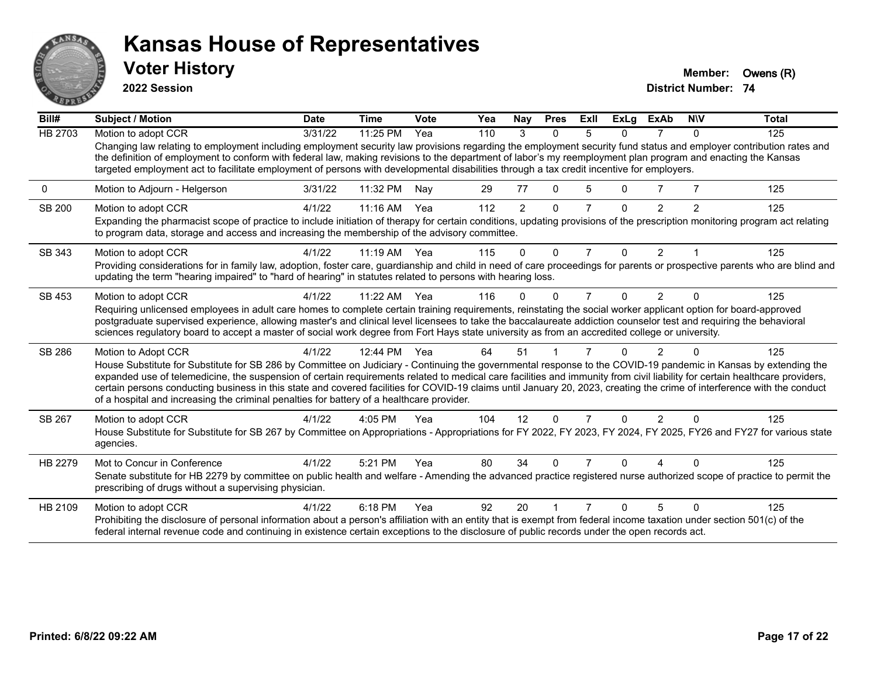

**2022 Session**

**Voter History Member: Owens** (R)

| Bill#          | <b>Subject / Motion</b>                                                                                                                                                                                                                                                                                                                                                                                                                                                                                                                                                                                                 | <b>Date</b> | <b>Time</b> | Vote | Yea | Nay            | <b>Pres</b>  | ExII | <b>ExLg</b> | ExAb           | <b>NIV</b> | <b>Total</b> |
|----------------|-------------------------------------------------------------------------------------------------------------------------------------------------------------------------------------------------------------------------------------------------------------------------------------------------------------------------------------------------------------------------------------------------------------------------------------------------------------------------------------------------------------------------------------------------------------------------------------------------------------------------|-------------|-------------|------|-----|----------------|--------------|------|-------------|----------------|------------|--------------|
| <b>HB 2703</b> | Motion to adopt CCR                                                                                                                                                                                                                                                                                                                                                                                                                                                                                                                                                                                                     | 3/31/22     | 11:25 PM    | Yea  | 110 | 3              | $\Omega$     | 5.   | 0           | 7              | $\Omega$   | 125          |
|                | Changing law relating to employment including employment security law provisions regarding the employment security fund status and employer contribution rates and<br>the definition of employment to conform with federal law, making revisions to the department of labor's my reemployment plan program and enacting the Kansas<br>targeted employment act to facilitate employment of persons with developmental disabilities through a tax credit incentive for employers.                                                                                                                                         |             |             |      |     |                |              |      |             |                |            |              |
| 0              | Motion to Adjourn - Helgerson                                                                                                                                                                                                                                                                                                                                                                                                                                                                                                                                                                                           | 3/31/22     | 11:32 PM    | Nay  | 29  | 77             | $\mathbf{0}$ | 5    | 0           |                |            | 125          |
| <b>SB 200</b>  | Motion to adopt CCR                                                                                                                                                                                                                                                                                                                                                                                                                                                                                                                                                                                                     | 4/1/22      | 11:16 AM    | Yea  | 112 | $\overline{2}$ | $\mathbf{0}$ |      | $\Omega$    | 2              | 2          | 125          |
|                | Expanding the pharmacist scope of practice to include initiation of therapy for certain conditions, updating provisions of the prescription monitoring program act relating<br>to program data, storage and access and increasing the membership of the advisory committee.                                                                                                                                                                                                                                                                                                                                             |             |             |      |     |                |              |      |             |                |            |              |
| SB 343         | Motion to adopt CCR                                                                                                                                                                                                                                                                                                                                                                                                                                                                                                                                                                                                     | 4/1/22      | $11:19$ AM  | Yea  | 115 | $\Omega$       | 0            | 7    | $\Omega$    | 2              |            | 125          |
|                | Providing considerations for in family law, adoption, foster care, guardianship and child in need of care proceedings for parents or prospective parents who are blind and<br>updating the term "hearing impaired" to "hard of hearing" in statutes related to persons with hearing loss.                                                                                                                                                                                                                                                                                                                               |             |             |      |     |                |              |      |             |                |            |              |
| SB 453         | Motion to adopt CCR                                                                                                                                                                                                                                                                                                                                                                                                                                                                                                                                                                                                     | 4/1/22      | $11:22$ AM  | Yea  | 116 | O              | ∩            |      | 0           | 2              | $\Omega$   | 125          |
|                | Requiring unlicensed employees in adult care homes to complete certain training requirements, reinstating the social worker applicant option for board-approved<br>postgraduate supervised experience, allowing master's and clinical level licensees to take the baccalaureate addiction counselor test and requiring the behavioral<br>sciences regulatory board to accept a master of social work degree from Fort Hays state university as from an accredited college or university.                                                                                                                                |             |             |      |     |                |              |      |             |                |            |              |
| SB 286         | Motion to Adopt CCR                                                                                                                                                                                                                                                                                                                                                                                                                                                                                                                                                                                                     | 4/1/22      | 12:44 PM    | Yea  | 64  | 51             |              |      | 0           | $\mathcal{P}$  | $\Omega$   | 125          |
|                | House Substitute for Substitute for SB 286 by Committee on Judiciary - Continuing the governmental response to the COVID-19 pandemic in Kansas by extending the<br>expanded use of telemedicine, the suspension of certain requirements related to medical care facilities and immunity from civil liability for certain healthcare providers,<br>certain persons conducting business in this state and covered facilities for COVID-19 claims until January 20, 2023, creating the crime of interference with the conduct<br>of a hospital and increasing the criminal penalties for battery of a healthcare provider. |             |             |      |     |                |              |      |             |                |            |              |
| SB 267         | Motion to adopt CCR                                                                                                                                                                                                                                                                                                                                                                                                                                                                                                                                                                                                     | 4/1/22      | $4:05$ PM   | Yea  | 104 | 12             | $\Omega$     |      | 0           | $\overline{2}$ | $\Omega$   | 125          |
|                | House Substitute for Substitute for SB 267 by Committee on Appropriations - Appropriations for FY 2022, FY 2023, FY 2024, FY 2025, FY26 and FY27 for various state<br>agencies.                                                                                                                                                                                                                                                                                                                                                                                                                                         |             |             |      |     |                |              |      |             |                |            |              |
| HB 2279        | Mot to Concur in Conference                                                                                                                                                                                                                                                                                                                                                                                                                                                                                                                                                                                             | 4/1/22      | 5:21 PM     | Yea  | 80  | 34             | ∩            |      | 0           |                |            | 125          |
|                | Senate substitute for HB 2279 by committee on public health and welfare - Amending the advanced practice registered nurse authorized scope of practice to permit the<br>prescribing of drugs without a supervising physician.                                                                                                                                                                                                                                                                                                                                                                                           |             |             |      |     |                |              |      |             |                |            |              |
| HB 2109        | Motion to adopt CCR                                                                                                                                                                                                                                                                                                                                                                                                                                                                                                                                                                                                     | 4/1/22      | 6:18 PM     | Yea  | 92  | 20             |              |      | ŋ           | 5              |            | 125          |
|                | Prohibiting the disclosure of personal information about a person's affiliation with an entity that is exempt from federal income taxation under section 501(c) of the<br>federal internal revenue code and continuing in existence certain exceptions to the disclosure of public records under the open records act.                                                                                                                                                                                                                                                                                                  |             |             |      |     |                |              |      |             |                |            |              |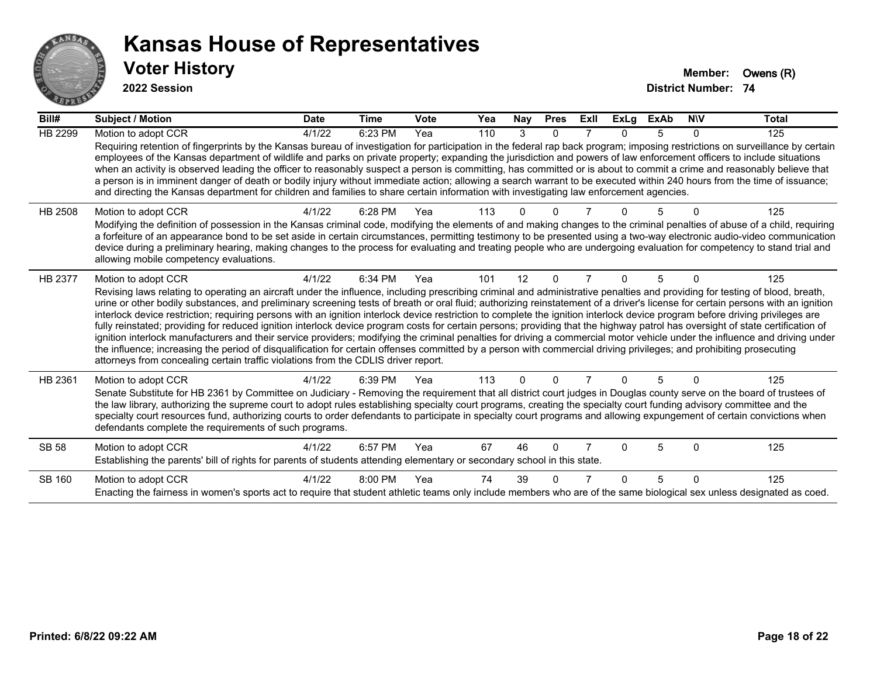

**2022 Session**

| Bill#          | <b>Subject / Motion</b>                                                                                                                                                                                                                                                                                                                                                                                                                                                                                                                                                                                                                                                                                                                                                                                                                                                                                                                                                                                                                                                                                                                                                        | <b>Date</b> | <b>Time</b> | <b>Vote</b> | Yea | <b>Nay</b> | <b>Pres</b> | ExII | <b>ExLg</b> | <b>ExAb</b> | <b>NIV</b>   | <b>Total</b> |
|----------------|--------------------------------------------------------------------------------------------------------------------------------------------------------------------------------------------------------------------------------------------------------------------------------------------------------------------------------------------------------------------------------------------------------------------------------------------------------------------------------------------------------------------------------------------------------------------------------------------------------------------------------------------------------------------------------------------------------------------------------------------------------------------------------------------------------------------------------------------------------------------------------------------------------------------------------------------------------------------------------------------------------------------------------------------------------------------------------------------------------------------------------------------------------------------------------|-------------|-------------|-------------|-----|------------|-------------|------|-------------|-------------|--------------|--------------|
| HB 2299        | Motion to adopt CCR                                                                                                                                                                                                                                                                                                                                                                                                                                                                                                                                                                                                                                                                                                                                                                                                                                                                                                                                                                                                                                                                                                                                                            | 4/1/22      | 6:23 PM     | Yea         | 110 | 3          | $\Omega$    |      | U.          | 5           | $\mathbf{0}$ | 125          |
|                | Requiring retention of fingerprints by the Kansas bureau of investigation for participation in the federal rap back program; imposing restrictions on surveillance by certain<br>employees of the Kansas department of wildlife and parks on private property; expanding the jurisdiction and powers of law enforcement officers to include situations<br>when an activity is observed leading the officer to reasonably suspect a person is committing, has committed or is about to commit a crime and reasonably believe that<br>a person is in imminent danger of death or bodily injury without immediate action; allowing a search warrant to be executed within 240 hours from the time of issuance;<br>and directing the Kansas department for children and families to share certain information with investigating law enforcement agencies.                                                                                                                                                                                                                                                                                                                         |             |             |             |     |            |             |      |             |             |              |              |
| HB 2508        | Motion to adopt CCR                                                                                                                                                                                                                                                                                                                                                                                                                                                                                                                                                                                                                                                                                                                                                                                                                                                                                                                                                                                                                                                                                                                                                            | 4/1/22      | 6:28 PM     | Yea         | 113 |            |             |      |             |             |              | 125          |
|                | Modifying the definition of possession in the Kansas criminal code, modifying the elements of and making changes to the criminal penalties of abuse of a child, requiring<br>a forfeiture of an appearance bond to be set aside in certain circumstances, permitting testimony to be presented using a two-way electronic audio-video communication<br>device during a preliminary hearing, making changes to the process for evaluating and treating people who are undergoing evaluation for competency to stand trial and<br>allowing mobile competency evaluations.                                                                                                                                                                                                                                                                                                                                                                                                                                                                                                                                                                                                        |             |             |             |     |            |             |      |             |             |              |              |
| <b>HB 2377</b> | Motion to adopt CCR                                                                                                                                                                                                                                                                                                                                                                                                                                                                                                                                                                                                                                                                                                                                                                                                                                                                                                                                                                                                                                                                                                                                                            | 4/1/22      | 6:34 PM     | Yea         | 101 | 12         | $\Omega$    |      | U           | 5           | $\Omega$     | 125          |
|                | Revising laws relating to operating an aircraft under the influence, including prescribing criminal and administrative penalties and providing for testing of blood, breath,<br>urine or other bodily substances, and preliminary screening tests of breath or oral fluid; authorizing reinstatement of a driver's license for certain persons with an ignition<br>interlock device restriction; requiring persons with an ignition interlock device restriction to complete the ignition interlock device program before driving privileges are<br>fully reinstated; providing for reduced ignition interlock device program costs for certain persons; providing that the highway patrol has oversight of state certification of<br>ignition interlock manufacturers and their service providers; modifying the criminal penalties for driving a commercial motor vehicle under the influence and driving under<br>the influence; increasing the period of disqualification for certain offenses committed by a person with commercial driving privileges; and prohibiting prosecuting<br>attorneys from concealing certain traffic violations from the CDLIS driver report. |             |             |             |     |            |             |      |             |             |              |              |
| HB 2361        | Motion to adopt CCR                                                                                                                                                                                                                                                                                                                                                                                                                                                                                                                                                                                                                                                                                                                                                                                                                                                                                                                                                                                                                                                                                                                                                            | 4/1/22      | 6:39 PM     | Yea         | 113 | $\Omega$   | 0           |      | 0           | 5           | $\Omega$     | 125          |
|                | Senate Substitute for HB 2361 by Committee on Judiciary - Removing the requirement that all district court judges in Douglas county serve on the board of trustees of<br>the law library, authorizing the supreme court to adopt rules establishing specialty court programs, creating the specialty court funding advisory committee and the<br>specialty court resources fund, authorizing courts to order defendants to participate in specialty court programs and allowing expungement of certain convictions when<br>defendants complete the requirements of such programs.                                                                                                                                                                                                                                                                                                                                                                                                                                                                                                                                                                                              |             |             |             |     |            |             |      |             |             |              |              |
| <b>SB 58</b>   | Motion to adopt CCR                                                                                                                                                                                                                                                                                                                                                                                                                                                                                                                                                                                                                                                                                                                                                                                                                                                                                                                                                                                                                                                                                                                                                            | 4/1/22      | 6:57 PM     | Yea         | 67  | 46         | $\Omega$    |      |             | 5           | $\Omega$     | 125          |
|                | Establishing the parents' bill of rights for parents of students attending elementary or secondary school in this state.                                                                                                                                                                                                                                                                                                                                                                                                                                                                                                                                                                                                                                                                                                                                                                                                                                                                                                                                                                                                                                                       |             |             |             |     |            |             |      |             |             |              |              |
| <b>SB 160</b>  | Motion to adopt CCR                                                                                                                                                                                                                                                                                                                                                                                                                                                                                                                                                                                                                                                                                                                                                                                                                                                                                                                                                                                                                                                                                                                                                            | 4/1/22      | 8:00 PM     | Yea         | 74  | 39         | U           |      |             | 5           | $\Omega$     | 125          |
|                | Enacting the fairness in women's sports act to require that student athletic teams only include members who are of the same biological sex unless designated as coed.                                                                                                                                                                                                                                                                                                                                                                                                                                                                                                                                                                                                                                                                                                                                                                                                                                                                                                                                                                                                          |             |             |             |     |            |             |      |             |             |              |              |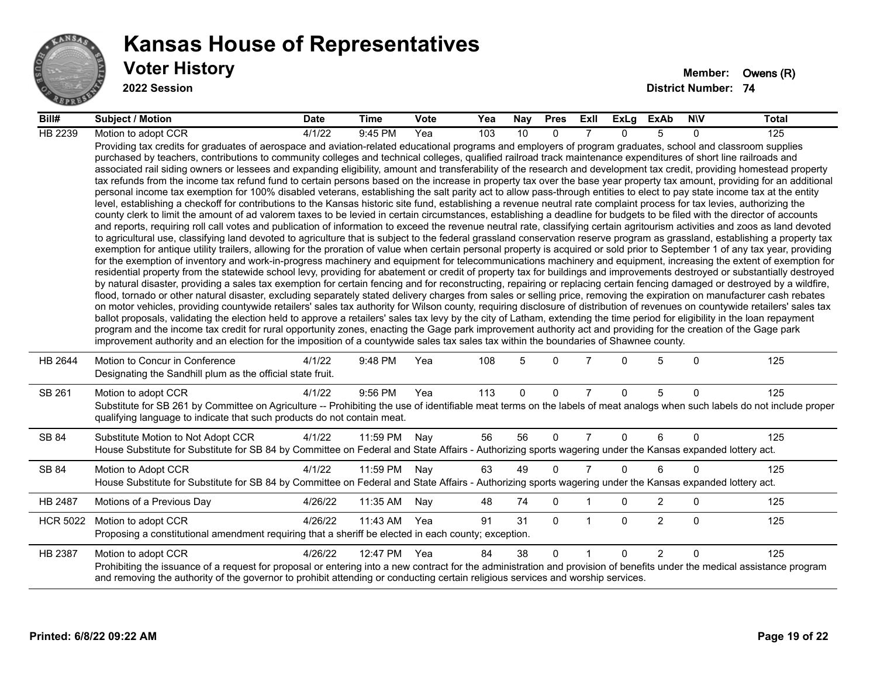

**2022 Session**

| Bill#           | <b>Subject / Motion</b>                                                                                                                                                                                                                                                                                                                                                                                                                                                                                                                                                                                                                                                                                                                                                                                                                                                                                                                                                                                                                                                                                                                                                                                                                                                                                                                                                                                                                                                                                                                                                                                                                                                                                                                                                                                                                                                                                                                                                                                                                                                                                                                                                                                                                                                                                                                                                                                                                                                                                                                                                                                                                                                                                                                                                                                                                                                                                                                                                                                                                                                                                                                                                     | <b>Date</b> | Time     | <b>Vote</b> | Yea | Nay      | <b>Pres</b>  | ExII           | ExLg     | <b>ExAb</b>    | <b>NIV</b>   | <b>Total</b> |
|-----------------|-----------------------------------------------------------------------------------------------------------------------------------------------------------------------------------------------------------------------------------------------------------------------------------------------------------------------------------------------------------------------------------------------------------------------------------------------------------------------------------------------------------------------------------------------------------------------------------------------------------------------------------------------------------------------------------------------------------------------------------------------------------------------------------------------------------------------------------------------------------------------------------------------------------------------------------------------------------------------------------------------------------------------------------------------------------------------------------------------------------------------------------------------------------------------------------------------------------------------------------------------------------------------------------------------------------------------------------------------------------------------------------------------------------------------------------------------------------------------------------------------------------------------------------------------------------------------------------------------------------------------------------------------------------------------------------------------------------------------------------------------------------------------------------------------------------------------------------------------------------------------------------------------------------------------------------------------------------------------------------------------------------------------------------------------------------------------------------------------------------------------------------------------------------------------------------------------------------------------------------------------------------------------------------------------------------------------------------------------------------------------------------------------------------------------------------------------------------------------------------------------------------------------------------------------------------------------------------------------------------------------------------------------------------------------------------------------------------------------------------------------------------------------------------------------------------------------------------------------------------------------------------------------------------------------------------------------------------------------------------------------------------------------------------------------------------------------------------------------------------------------------------------------------------------------------|-------------|----------|-------------|-----|----------|--------------|----------------|----------|----------------|--------------|--------------|
| HB 2239         | Motion to adopt CCR                                                                                                                                                                                                                                                                                                                                                                                                                                                                                                                                                                                                                                                                                                                                                                                                                                                                                                                                                                                                                                                                                                                                                                                                                                                                                                                                                                                                                                                                                                                                                                                                                                                                                                                                                                                                                                                                                                                                                                                                                                                                                                                                                                                                                                                                                                                                                                                                                                                                                                                                                                                                                                                                                                                                                                                                                                                                                                                                                                                                                                                                                                                                                         | 4/1/22      | 9:45 PM  | Yea         | 103 | 10       | $\Omega$     |                | $\Omega$ | 5              | 0            | 125          |
|                 | Providing tax credits for graduates of aerospace and aviation-related educational programs and employers of program graduates, school and classroom supplies<br>purchased by teachers, contributions to community colleges and technical colleges, qualified railroad track maintenance expenditures of short line railroads and<br>associated rail siding owners or lessees and expanding eligibility, amount and transferability of the research and development tax credit, providing homestead property<br>tax refunds from the income tax refund fund to certain persons based on the increase in property tax over the base year property tax amount, providing for an additional<br>personal income tax exemption for 100% disabled veterans, establishing the salt parity act to allow pass-through entities to elect to pay state income tax at the entity<br>level, establishing a checkoff for contributions to the Kansas historic site fund, establishing a revenue neutral rate complaint process for tax levies, authorizing the<br>county clerk to limit the amount of ad valorem taxes to be levied in certain circumstances, establishing a deadline for budgets to be filed with the director of accounts<br>and reports, requiring roll call votes and publication of information to exceed the revenue neutral rate, classifying certain agritourism activities and zoos as land devoted<br>to agricultural use, classifying land devoted to agriculture that is subject to the federal grassland conservation reserve program as grassland, establishing a property tax<br>exemption for antique utility trailers, allowing for the proration of value when certain personal property is acquired or sold prior to September 1 of any tax year, providing<br>for the exemption of inventory and work-in-progress machinery and equipment for telecommunications machinery and equipment, increasing the extent of exemption for<br>residential property from the statewide school levy, providing for abatement or credit of property tax for buildings and improvements destroyed or substantially destroyed<br>by natural disaster, providing a sales tax exemption for certain fencing and for reconstructing, repairing or replacing certain fencing damaged or destroyed by a wildfire,<br>flood, tornado or other natural disaster, excluding separately stated delivery charges from sales or selling price, removing the expiration on manufacturer cash rebates<br>on motor vehicles, providing countywide retailers' sales tax authority for Wilson county, requiring disclosure of distribution of revenues on countywide retailers' sales tax<br>ballot proposals, validating the election held to approve a retailers' sales tax levy by the city of Latham, extending the time period for eligibility in the loan repayment<br>program and the income tax credit for rural opportunity zones, enacting the Gage park improvement authority act and providing for the creation of the Gage park<br>improvement authority and an election for the imposition of a countywide sales tax sales tax within the boundaries of Shawnee county. |             |          |             |     |          |              |                |          |                |              |              |
| HB 2644         | Motion to Concur in Conference<br>Designating the Sandhill plum as the official state fruit.                                                                                                                                                                                                                                                                                                                                                                                                                                                                                                                                                                                                                                                                                                                                                                                                                                                                                                                                                                                                                                                                                                                                                                                                                                                                                                                                                                                                                                                                                                                                                                                                                                                                                                                                                                                                                                                                                                                                                                                                                                                                                                                                                                                                                                                                                                                                                                                                                                                                                                                                                                                                                                                                                                                                                                                                                                                                                                                                                                                                                                                                                | 4/1/22      | 9:48 PM  | Yea         | 108 | 5        | $\Omega$     |                | $\Omega$ | 5              | $\Omega$     | 125          |
| SB 261          | Motion to adopt CCR<br>Substitute for SB 261 by Committee on Agriculture -- Prohibiting the use of identifiable meat terms on the labels of meat analogs when such labels do not include proper<br>qualifying language to indicate that such products do not contain meat.                                                                                                                                                                                                                                                                                                                                                                                                                                                                                                                                                                                                                                                                                                                                                                                                                                                                                                                                                                                                                                                                                                                                                                                                                                                                                                                                                                                                                                                                                                                                                                                                                                                                                                                                                                                                                                                                                                                                                                                                                                                                                                                                                                                                                                                                                                                                                                                                                                                                                                                                                                                                                                                                                                                                                                                                                                                                                                  | 4/1/22      | 9:56 PM  | Yea         | 113 | $\Omega$ | $\mathbf{0}$ | $\overline{7}$ | $\Omega$ | 5              | $\Omega$     | 125          |
| SB 84           | Substitute Motion to Not Adopt CCR<br>House Substitute for Substitute for SB 84 by Committee on Federal and State Affairs - Authorizing sports wagering under the Kansas expanded lottery act.                                                                                                                                                                                                                                                                                                                                                                                                                                                                                                                                                                                                                                                                                                                                                                                                                                                                                                                                                                                                                                                                                                                                                                                                                                                                                                                                                                                                                                                                                                                                                                                                                                                                                                                                                                                                                                                                                                                                                                                                                                                                                                                                                                                                                                                                                                                                                                                                                                                                                                                                                                                                                                                                                                                                                                                                                                                                                                                                                                              | 4/1/22      | 11:59 PM | Nay         | 56  | 56       | $\mathbf{0}$ | $\overline{7}$ | $\Omega$ | 6              | $\Omega$     | 125          |
| SB 84           | Motion to Adopt CCR<br>House Substitute for Substitute for SB 84 by Committee on Federal and State Affairs - Authorizing sports wagering under the Kansas expanded lottery act.                                                                                                                                                                                                                                                                                                                                                                                                                                                                                                                                                                                                                                                                                                                                                                                                                                                                                                                                                                                                                                                                                                                                                                                                                                                                                                                                                                                                                                                                                                                                                                                                                                                                                                                                                                                                                                                                                                                                                                                                                                                                                                                                                                                                                                                                                                                                                                                                                                                                                                                                                                                                                                                                                                                                                                                                                                                                                                                                                                                             | 4/1/22      | 11:59 PM | Nay         | 63  | 49       | $\mathbf{0}$ | $\overline{7}$ | $\Omega$ | 6              | 0            | 125          |
| HB 2487         | Motions of a Previous Day                                                                                                                                                                                                                                                                                                                                                                                                                                                                                                                                                                                                                                                                                                                                                                                                                                                                                                                                                                                                                                                                                                                                                                                                                                                                                                                                                                                                                                                                                                                                                                                                                                                                                                                                                                                                                                                                                                                                                                                                                                                                                                                                                                                                                                                                                                                                                                                                                                                                                                                                                                                                                                                                                                                                                                                                                                                                                                                                                                                                                                                                                                                                                   | 4/26/22     | 11:35 AM | Nay         | 48  | 74       | $\mathbf 0$  |                | $\Omega$ | $\overline{2}$ | $\mathbf{0}$ | 125          |
| <b>HCR 5022</b> | Motion to adopt CCR<br>Proposing a constitutional amendment requiring that a sheriff be elected in each county; exception.                                                                                                                                                                                                                                                                                                                                                                                                                                                                                                                                                                                                                                                                                                                                                                                                                                                                                                                                                                                                                                                                                                                                                                                                                                                                                                                                                                                                                                                                                                                                                                                                                                                                                                                                                                                                                                                                                                                                                                                                                                                                                                                                                                                                                                                                                                                                                                                                                                                                                                                                                                                                                                                                                                                                                                                                                                                                                                                                                                                                                                                  | 4/26/22     | 11:43 AM | Yea         | 91  | 31       | $\mathbf{0}$ | -1             | $\Omega$ | $\overline{2}$ | $\Omega$     | 125          |
| HB 2387         | Motion to adopt CCR<br>Prohibiting the issuance of a request for proposal or entering into a new contract for the administration and provision of benefits under the medical assistance program<br>and removing the authority of the governor to prohibit attending or conducting certain religious services and worship services.                                                                                                                                                                                                                                                                                                                                                                                                                                                                                                                                                                                                                                                                                                                                                                                                                                                                                                                                                                                                                                                                                                                                                                                                                                                                                                                                                                                                                                                                                                                                                                                                                                                                                                                                                                                                                                                                                                                                                                                                                                                                                                                                                                                                                                                                                                                                                                                                                                                                                                                                                                                                                                                                                                                                                                                                                                          | 4/26/22     | 12:47 PM | Yea         | 84  | 38       | $\Omega$     | $\overline{1}$ | $\Omega$ | $\overline{2}$ | $\Omega$     | 125          |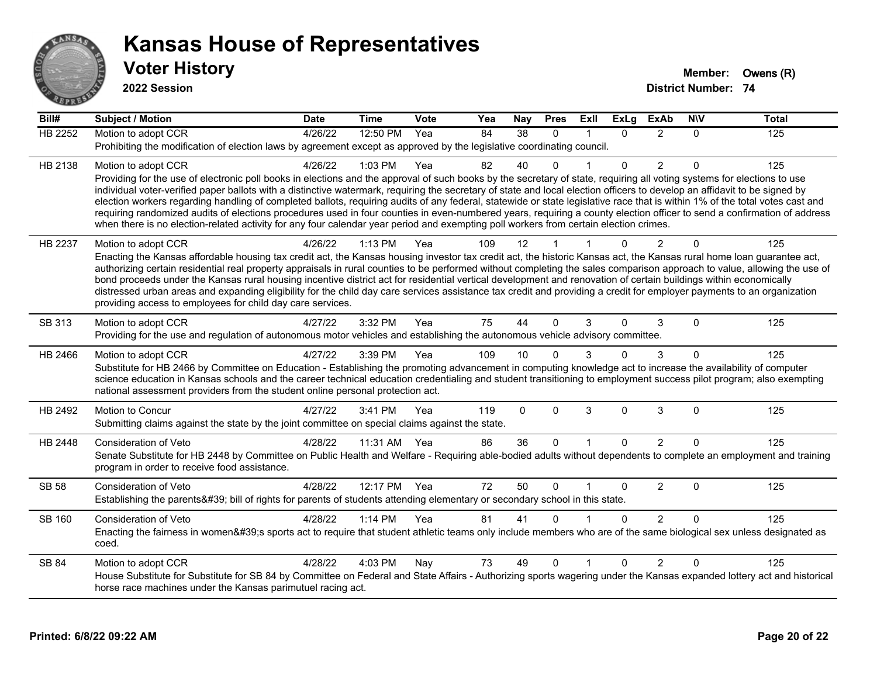

**2022 Session**

**Bill# Subject / Motion Date Time Vote Yea Nay Pres Exll ExLg ExAb N\V Total** HB 2252 Motion to adopt CCR 4/26/22 12:50 PM Yea 84 38 0 1 0 2 0 125 Prohibiting the modification of election laws by agreement except as approved by the legislative coordinating council. HB 2138 Motion to adopt CCR 4/26/22 1:03 PM Yea 82 40 0 1 0 2 0 125 Providing for the use of electronic poll books in elections and the approval of such books by the secretary of state, requiring all voting systems for elections to use individual voter-verified paper ballots with a distinctive watermark, requiring the secretary of state and local election officers to develop an affidavit to be signed by election workers regarding handling of completed ballots, requiring audits of any federal, statewide or state legislative race that is within 1% of the total votes cast and requiring randomized audits of elections procedures used in four counties in even-numbered years, requiring a county election officer to send a confirmation of address when there is no election-related activity for any four calendar year period and exempting poll workers from certain election crimes. HB 2237 Motion to adopt CCR 4/26/22 1:13 PM Yea 109 12 1 1 0 2 0 125 Enacting the Kansas affordable housing tax credit act, the Kansas housing investor tax credit act, the historic Kansas act, the Kansas rural home loan guarantee act, authorizing certain residential real property appraisals in rural counties to be performed without completing the sales comparison approach to value, allowing the use of bond proceeds under the Kansas rural housing incentive district act for residential vertical development and renovation of certain buildings within economically distressed urban areas and expanding eligibility for the child day care services assistance tax credit and providing a credit for employer payments to an organization providing access to employees for child day care services. SB 313 Motion to adopt CCR 4/27/22 3:32 PM Yea 75 44 0 3 0 3 0 125 Providing for the use and regulation of autonomous motor vehicles and establishing the autonomous vehicle advisory committee. HB 2466 Motion to adopt CCR 4/27/22 3:39 PM Yea 109 10 0 3 0 3 0 125 Substitute for HB 2466 by Committee on Education - Establishing the promoting advancement in computing knowledge act to increase the availability of computer science education in Kansas schools and the career technical education credentialing and student transitioning to employment success pilot program; also exempting national assessment providers from the student online personal protection act. HB 2492 Motion to Concur 4/27/22 3:41 PM Yea 119 0 0 3 0 3 0 125 Submitting claims against the state by the joint committee on special claims against the state. HB 2448 Consideration of Veto 4/28/22 11:31 AM Yea 86 36 0 1 0 2 0 125 Senate Substitute for HB 2448 by Committee on Public Health and Welfare - Requiring able-bodied adults without dependents to complete an employment and training program in order to receive food assistance. SB 58 Consideration of Veto **4/28/22 12:17 PM Yea** 72 50 0 1 0 2 0 125 Establishing the parents' bill of rights for parents of students attending elementary or secondary school in this state. SB 160 Consideration of Veto **4/28/22 1:14 PM Yea** 81 41 0 1 0 2 0 125 Enacting the fairness in women's sports act to require that student athletic teams only include members who are of the same biological sex unless designated as coed. SB 84 Motion to adopt CCR 4/28/22 4:03 PM Nay 73 49 0 1 0 2 0 125 House Substitute for Substitute for SB 84 by Committee on Federal and State Affairs - Authorizing sports wagering under the Kansas expanded lottery act and historical horse race machines under the Kansas parimutuel racing act.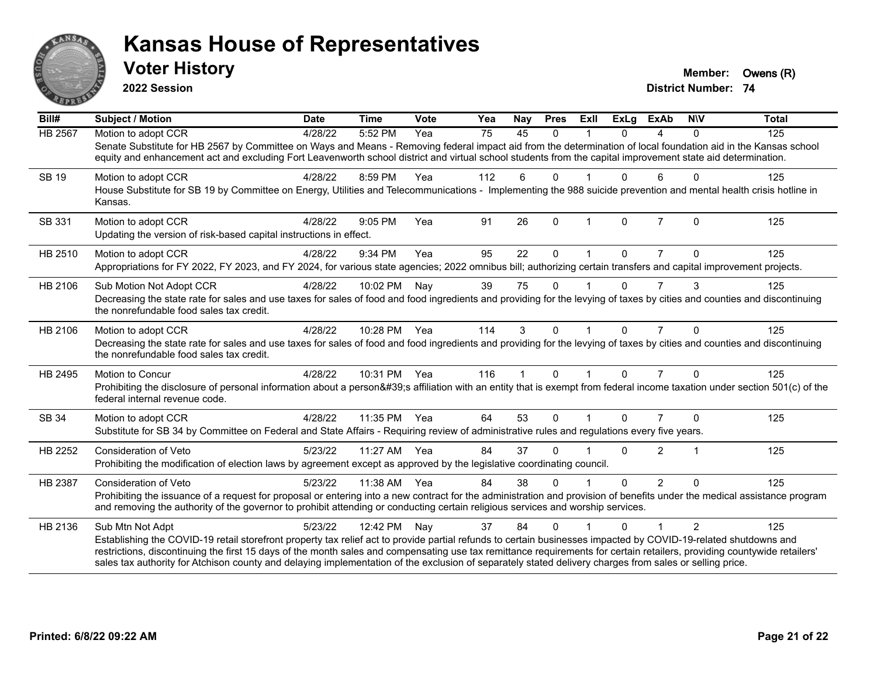

**2022 Session**

**District Number: 74 Voter History Member:** Owens (R)

| Bill#        | <b>Subject / Motion</b>                                                                                                                                                                                                                                                                                                             | <b>Date</b> | <b>Time</b>  | Vote | Yea | <b>Nay</b>           | <b>Pres</b>  | Exll         | <b>ExLg</b>  | <b>ExAb</b>    | <b>NIV</b>     | <b>Total</b> |
|--------------|-------------------------------------------------------------------------------------------------------------------------------------------------------------------------------------------------------------------------------------------------------------------------------------------------------------------------------------|-------------|--------------|------|-----|----------------------|--------------|--------------|--------------|----------------|----------------|--------------|
| HB 2567      | Motion to adopt CCR                                                                                                                                                                                                                                                                                                                 | 4/28/22     | 5:52 PM      | Yea  | 75  | 45                   | $\Omega$     |              | $\Omega$     | 4              | $\Omega$       | 125          |
|              | Senate Substitute for HB 2567 by Committee on Ways and Means - Removing federal impact aid from the determination of local foundation aid in the Kansas school<br>equity and enhancement act and excluding Fort Leavenworth school district and virtual school students from the capital improvement state aid determination.       |             |              |      |     |                      |              |              |              |                |                |              |
| <b>SB 19</b> | Motion to adopt CCR                                                                                                                                                                                                                                                                                                                 | 4/28/22     | 8:59 PM      | Yea  | 112 | 6                    | $\mathbf{0}$ |              | 0            | 6              | $\Omega$       | 125          |
|              | House Substitute for SB 19 by Committee on Energy, Utilities and Telecommunications - Implementing the 988 suicide prevention and mental health crisis hotline in<br>Kansas.                                                                                                                                                        |             |              |      |     |                      |              |              |              |                |                |              |
| SB 331       | Motion to adopt CCR                                                                                                                                                                                                                                                                                                                 | 4/28/22     | 9:05 PM      | Yea  | 91  | 26                   | $\mathbf{0}$ | $\mathbf 1$  | $\mathbf{0}$ | $\overline{7}$ | $\Omega$       | 125          |
|              | Updating the version of risk-based capital instructions in effect.                                                                                                                                                                                                                                                                  |             |              |      |     |                      |              |              |              |                |                |              |
| HB 2510      | Motion to adopt CCR                                                                                                                                                                                                                                                                                                                 | 4/28/22     | 9:34 PM      | Yea  | 95  | 22                   | $\mathbf{0}$ |              | 0            | 7              | 0              | 125          |
|              | Appropriations for FY 2022, FY 2023, and FY 2024, for various state agencies; 2022 omnibus bill; authorizing certain transfers and capital improvement projects.                                                                                                                                                                    |             |              |      |     |                      |              |              |              |                |                |              |
| HB 2106      | Sub Motion Not Adopt CCR                                                                                                                                                                                                                                                                                                            | 4/28/22     | 10:02 PM     | Nay  | 39  | 75                   | $\mathbf{0}$ |              | $\Omega$     | $\overline{7}$ | 3              | 125          |
|              | Decreasing the state rate for sales and use taxes for sales of food and food ingredients and providing for the levying of taxes by cities and counties and discontinuing<br>the nonrefundable food sales tax credit.                                                                                                                |             |              |      |     |                      |              |              |              |                |                |              |
| HB 2106      | Motion to adopt CCR                                                                                                                                                                                                                                                                                                                 | 4/28/22     | 10:28 PM Yea |      | 114 | 3                    | $\mathbf{0}$ | -1           | $\Omega$     | $\overline{7}$ | $\Omega$       | 125          |
|              | Decreasing the state rate for sales and use taxes for sales of food and food ingredients and providing for the levying of taxes by cities and counties and discontinuing<br>the nonrefundable food sales tax credit.                                                                                                                |             |              |      |     |                      |              |              |              |                |                |              |
| HB 2495      | <b>Motion to Concur</b>                                                                                                                                                                                                                                                                                                             | 4/28/22     | 10:31 PM Yea |      | 116 | $\blacktriangleleft$ | $\mathbf{0}$ | $\mathbf{1}$ | $\Omega$     | $\overline{7}$ | $\Omega$       | 125          |
|              | Prohibiting the disclosure of personal information about a person's affiliation with an entity that is exempt from federal income taxation under section 501(c) of the<br>federal internal revenue code.                                                                                                                            |             |              |      |     |                      |              |              |              |                |                |              |
| SB 34        | Motion to adopt CCR                                                                                                                                                                                                                                                                                                                 | 4/28/22     | 11:35 PM     | Yea  | 64  | 53                   | $\mathbf{0}$ |              | $\Omega$     |                | $\Omega$       | 125          |
|              | Substitute for SB 34 by Committee on Federal and State Affairs - Requiring review of administrative rules and regulations every five years.                                                                                                                                                                                         |             |              |      |     |                      |              |              |              |                |                |              |
| HB 2252      | <b>Consideration of Veto</b>                                                                                                                                                                                                                                                                                                        | 5/23/22     | 11:27 AM Yea |      | 84  | 37                   | $\Omega$     |              | $\Omega$     | $\overline{2}$ | $\mathbf 1$    | 125          |
|              | Prohibiting the modification of election laws by agreement except as approved by the legislative coordinating council.                                                                                                                                                                                                              |             |              |      |     |                      |              |              |              |                |                |              |
| HB 2387      | <b>Consideration of Veto</b>                                                                                                                                                                                                                                                                                                        | 5/23/22     | 11:38 AM     | Yea  | 84  | 38                   | $\Omega$     |              | $\Omega$     | $\overline{2}$ | $\Omega$       | 125          |
|              | Prohibiting the issuance of a request for proposal or entering into a new contract for the administration and provision of benefits under the medical assistance program<br>and removing the authority of the governor to prohibit attending or conducting certain religious services and worship services.                         |             |              |      |     |                      |              |              |              |                |                |              |
| HB 2136      | Sub Mtn Not Adpt                                                                                                                                                                                                                                                                                                                    | 5/23/22     | 12:42 PM     | Nay  | 37  | 84                   | $\Omega$     |              | 0            | 1              | $\mathfrak{p}$ | 125          |
|              | Establishing the COVID-19 retail storefront property tax relief act to provide partial refunds to certain businesses impacted by COVID-19-related shutdowns and                                                                                                                                                                     |             |              |      |     |                      |              |              |              |                |                |              |
|              | restrictions, discontinuing the first 15 days of the month sales and compensating use tax remittance requirements for certain retailers, providing countywide retailers'<br>sales tax authority for Atchison county and delaying implementation of the exclusion of separately stated delivery charges from sales or selling price. |             |              |      |     |                      |              |              |              |                |                |              |